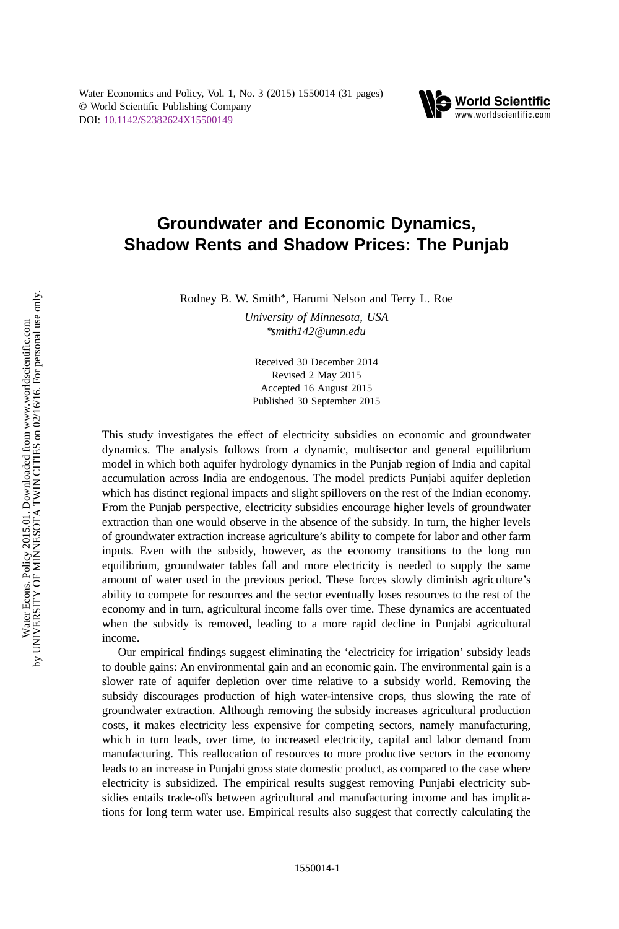

# Groundwater and Economic Dynamics, Shadow Rents and Shadow Prices: The Punjab

Rodney B. W. Smith\*, Harumi Nelson and Terry L. Roe

University of Minnesota, USA \*smith142@umn.edu

Received 30 December 2014 Revised 2 May 2015 Accepted 16 August 2015 Published 30 September 2015

This study investigates the effect of electricity subsidies on economic and groundwater dynamics. The analysis follows from a dynamic, multisector and general equilibrium model in which both aquifer hydrology dynamics in the Punjab region of India and capital accumulation across India are endogenous. The model predicts Punjabi aquifer depletion which has distinct regional impacts and slight spillovers on the rest of the Indian economy. From the Punjab perspective, electricity subsidies encourage higher levels of groundwater extraction than one would observe in the absence of the subsidy. In turn, the higher levels of groundwater extraction increase agriculture's ability to compete for labor and other farm inputs. Even with the subsidy, however, as the economy transitions to the long run equilibrium, groundwater tables fall and more electricity is needed to supply the same amount of water used in the previous period. These forces slowly diminish agriculture's ability to compete for resources and the sector eventually loses resources to the rest of the economy and in turn, agricultural income falls over time. These dynamics are accentuated when the subsidy is removed, leading to a more rapid decline in Punjabi agricultural income.

Our empirical findings suggest eliminating the 'electricity for irrigation' subsidy leads to double gains: An environmental gain and an economic gain. The environmental gain is a slower rate of aquifer depletion over time relative to a subsidy world. Removing the subsidy discourages production of high water-intensive crops, thus slowing the rate of groundwater extraction. Although removing the subsidy increases agricultural production costs, it makes electricity less expensive for competing sectors, namely manufacturing, which in turn leads, over time, to increased electricity, capital and labor demand from manufacturing. This reallocation of resources to more productive sectors in the economy leads to an increase in Punjabi gross state domestic product, as compared to the case where electricity is subsidized. The empirical results suggest removing Punjabi electricity subsidies entails trade-offs between agricultural and manufacturing income and has implications for long term water use. Empirical results also suggest that correctly calculating the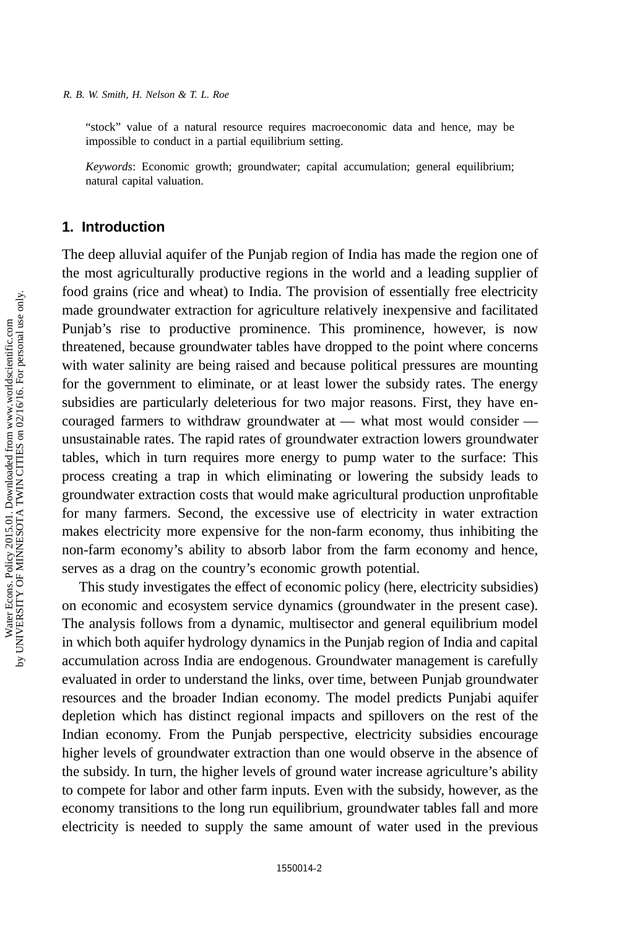"stock" value of a natural resource requires macroeconomic data and hence, may be impossible to conduct in a partial equilibrium setting.

Keywords: Economic growth; groundwater; capital accumulation; general equilibrium; natural capital valuation.

#### 1. Introduction

The deep alluvial aquifer of the Punjab region of India has made the region one of the most agriculturally productive regions in the world and a leading supplier of food grains (rice and wheat) to India. The provision of essentially free electricity made groundwater extraction for agriculture relatively inexpensive and facilitated Punjab's rise to productive prominence. This prominence, however, is now threatened, because groundwater tables have dropped to the point where concerns with water salinity are being raised and because political pressures are mounting for the government to eliminate, or at least lower the subsidy rates. The energy subsidies are particularly deleterious for two major reasons. First, they have encouraged farmers to withdraw groundwater at — what most would consider unsustainable rates. The rapid rates of groundwater extraction lowers groundwater tables, which in turn requires more energy to pump water to the surface: This process creating a trap in which eliminating or lowering the subsidy leads to groundwater extraction costs that would make agricultural production unprofitable for many farmers. Second, the excessive use of electricity in water extraction makes electricity more expensive for the non-farm economy, thus inhibiting the non-farm economy's ability to absorb labor from the farm economy and hence, serves as a drag on the country's economic growth potential.

This study investigates the effect of economic policy (here, electricity subsidies) on economic and ecosystem service dynamics (groundwater in the present case). The analysis follows from a dynamic, multisector and general equilibrium model in which both aquifer hydrology dynamics in the Punjab region of India and capital accumulation across India are endogenous. Groundwater management is carefully evaluated in order to understand the links, over time, between Punjab groundwater resources and the broader Indian economy. The model predicts Punjabi aquifer depletion which has distinct regional impacts and spillovers on the rest of the Indian economy. From the Punjab perspective, electricity subsidies encourage higher levels of groundwater extraction than one would observe in the absence of the subsidy. In turn, the higher levels of ground water increase agriculture's ability to compete for labor and other farm inputs. Even with the subsidy, however, as the economy transitions to the long run equilibrium, groundwater tables fall and more electricity is needed to supply the same amount of water used in the previous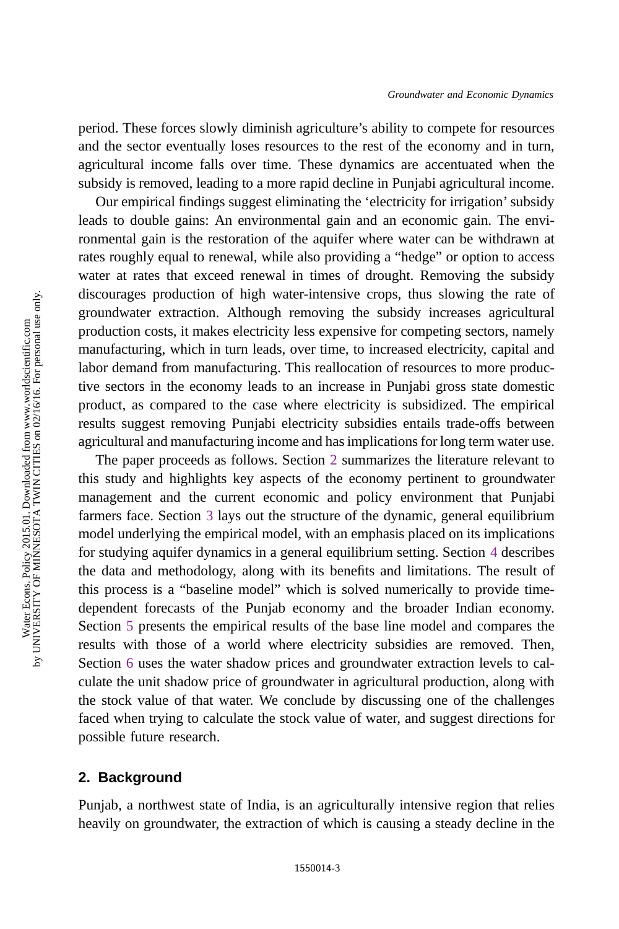period. These forces slowly diminish agriculture's ability to compete for resources and the sector eventually loses resources to the rest of the economy and in turn, agricultural income falls over time. These dynamics are accentuated when the subsidy is removed, leading to a more rapid decline in Punjabi agricultural income.

Our empirical findings suggest eliminating the 'electricity for irrigation'subsidy leads to double gains: An environmental gain and an economic gain. The environmental gain is the restoration of the aquifer where water can be withdrawn at rates roughly equal to renewal, while also providing a "hedge" or option to access water at rates that exceed renewal in times of drought. Removing the subsidy discourages production of high water-intensive crops, thus slowing the rate of groundwater extraction. Although removing the subsidy increases agricultural production costs, it makes electricity less expensive for competing sectors, namely manufacturing, which in turn leads, over time, to increased electricity, capital and labor demand from manufacturing. This reallocation of resources to more productive sectors in the economy leads to an increase in Punjabi gross state domestic product, as compared to the case where electricity is subsidized. The empirical results suggest removing Punjabi electricity subsidies entails trade-offs between agricultural and manufacturing income and has implications for long term water use.

The paper proceeds as follows. Section 2 summarizes the literature relevant to this study and highlights key aspects of the economy pertinent to groundwater management and the current economic and policy environment that Punjabi farmers face. Section [3](#page-6-0) lays out the structure of the dynamic, general equilibrium model underlying the empirical model, with an emphasis placed on its implications for studying aquifer dynamics in a general equilibrium setting. Section [4](#page-7-0) describes the data and methodology, along with its benefits and limitations. The result of this process is a "baseline model" which is solved numerically to provide timedependent forecasts of the Punjab economy and the broader Indian economy. Section [5](#page-11-0) presents the empirical results of the base line model and compares the results with those of a world where electricity subsidies are removed. Then, Section [6](#page-14-0) uses the water shadow prices and groundwater extraction levels to calculate the unit shadow price of groundwater in agricultural production, along with the stock value of that water. We conclude by discussing one of the challenges faced when trying to calculate the stock value of water, and suggest directions for possible future research.

# 2. Background

Punjab, a northwest state of India, is an agriculturally intensive region that relies heavily on groundwater, the extraction of which is causing a steady decline in the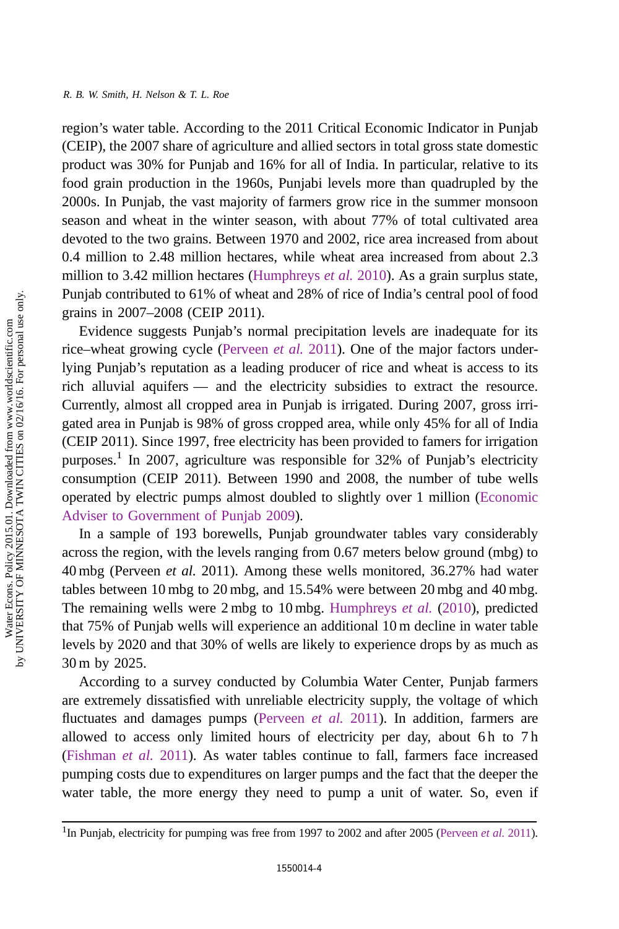region's water table. According to the 2011 Critical Economic Indicator in Punjab (CEIP), the 2007 share of agriculture and allied sectors in total gross state domestic product was 30% for Punjab and 16% for all of India. In particular, relative to its food grain production in the 1960s, Punjabi levels more than quadrupled by the 2000s. In Punjab, the vast majority of farmers grow rice in the summer monsoon season and wheat in the winter season, with about 77% of total cultivated area devoted to the two grains. Between 1970 and 2002, rice area increased from about 0.4 million to 2.48 million hectares, while wheat area increased from about 2.3 million to 3.42 million hectares ([Humphreys](#page-29-0) *et al.* [2010\)](#page-29-0). As a grain surplus state, Punjab contributed to 61% of wheat and 28% of rice of India's central pool of food grains in 2007–2008 (CEIP 2011).

Evidence suggests Punjab's normal precipitation levels are inadequate for its rice–wheat growing cycle ([Perveen](#page-29-0) et al. [2011\)](#page-29-0). One of the major factors underlying Punjab's reputation as a leading producer of rice and wheat is access to its rich alluvial aquifers — and the electricity subsidies to extract the resource. Currently, almost all cropped area in Punjab is irrigated. During 2007, gross irrigated area in Punjab is 98% of gross cropped area, while only 45% for all of India (CEIP 2011). Since 1997, free electricity has been provided to famers for irrigation purposes.<sup>1</sup> In 2007, agriculture was responsible for 32% of Punjab's electricity consumption (CEIP 2011). Between 1990 and 2008, the number of tube wells operated by electric pumps almost doubled to slightly over 1 million ([Economic](#page-28-0) [Adviser to Government of Punjab 2009\)](#page-28-0).

In a sample of 193 borewells, Punjab groundwater tables vary considerably across the region, with the levels ranging from 0.67 meters below ground (mbg) to 40 mbg (Perveen et al. 2011). Among these wells monitored, 36.27% had water tables between 10 mbg to 20 mbg, and 15.54% were between 20 mbg and 40 mbg. The remaining wells were 2 mbg to 10 mbg. [Humphreys](#page-29-0) et al. [\(2010\)](#page-29-0), predicted that 75% of Punjab wells will experience an additional 10 m decline in water table levels by 2020 and that 30% of wells are likely to experience drops by as much as 30 m by 2025.

According to a survey conducted by Columbia Water Center, Punjab farmers are extremely dissatisfied with unreliable electricity supply, the voltage of which fluctuates and damages pumps ([Perveen](#page-29-0) et al. [2011](#page-29-0)). In addition, farmers are allowed to access only limited hours of electricity per day, about 6h to 7h ([Fishman](#page-29-0) et al. [2011\)](#page-29-0). As water tables continue to fall, farmers face increased pumping costs due to expenditures on larger pumps and the fact that the deeper the water table, the more energy they need to pump a unit of water. So, even if

<sup>&</sup>lt;sup>1</sup>In Punjab, electricity for pumping was free from 1997 to 2002 and after 2005 ([Perveen](#page-29-0) et al. [2011\)](#page-29-0).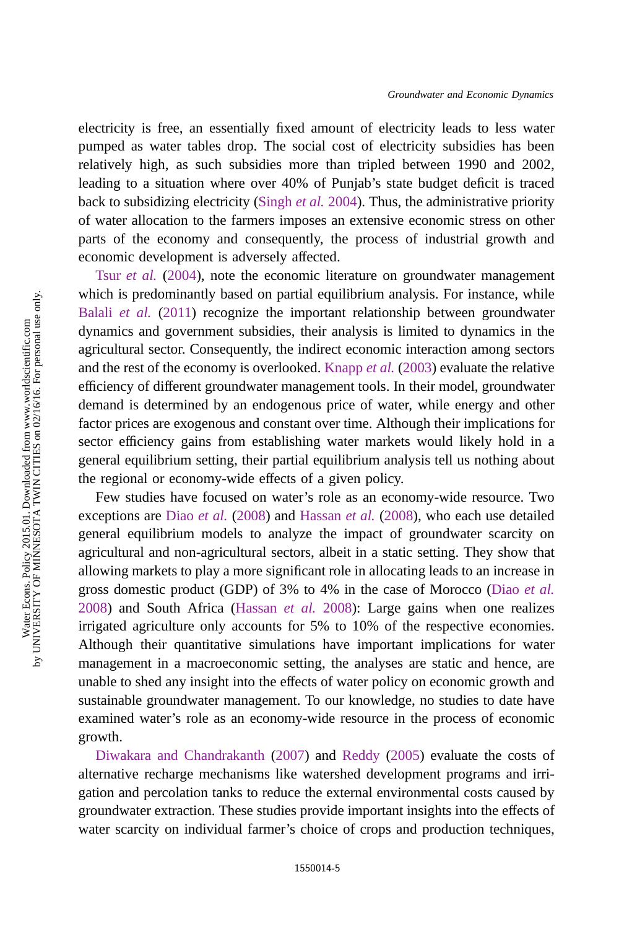electricity is free, an essentially fixed amount of electricity leads to less water pumped as water tables drop. The social cost of electricity subsidies has been relatively high, as such subsidies more than tripled between 1990 and 2002, leading to a situation where over 40% of Punjab's state budget deficit is traced back to subsidizing electricity ([Singh](#page-30-0) et al. [2004\)](#page-30-0). Thus, the administrative priority of water allocation to the farmers imposes an extensive economic stress on other parts of the economy and consequently, the process of industrial growth and economic development is adversely affected.

Tsur [et al.](#page-30-0) ([2004](#page-30-0)), note the economic literature on groundwater management which is predominantly based on partial equilibrium analysis. For instance, while [Balali](#page-28-0) et al. ([2011\)](#page-28-0) recognize the important relationship between groundwater dynamics and government subsidies, their analysis is limited to dynamics in the agricultural sector. Consequently, the indirect economic interaction among sectors and the rest of the economy is overlooked. [Knapp](#page-29-0)  $et al.$  ([2003](#page-29-0)) evaluate the relative efficiency of different groundwater management tools. In their model, groundwater demand is determined by an endogenous price of water, while energy and other factor prices are exogenous and constant over time. Although their implications for sector efficiency gains from establishing water markets would likely hold in a general equilibrium setting, their partial equilibrium analysis tell us nothing about the regional or economy-wide effects of a given policy.

Few studies have focused on water's role as an economy-wide resource. Two exceptions are Diao [et al.](#page-28-0) ([2008\)](#page-28-0) and [Hassan](#page-29-0) et al. [\(2008\)](#page-29-0), who each use detailed general equilibrium models to analyze the impact of groundwater scarcity on agricultural and non-agricultural sectors, albeit in a static setting. They show that allowing markets to play a more significant role in allocating leads to an increase in gross domestic product (GDP) of 3% to 4% in the case of Morocco (Diao [et al.](#page-28-0) [2008\)](#page-28-0) and South Africa ([Hassan](#page-29-0) et al. [2008\)](#page-29-0): Large gains when one realizes irrigated agriculture only accounts for 5% to 10% of the respective economies. Although their quantitative simulations have important implications for water management in a macroeconomic setting, the analyses are static and hence, are unable to shed any insight into the effects of water policy on economic growth and sustainable groundwater management. To our knowledge, no studies to date have examined water's role as an economy-wide resource in the process of economic growth.

[Diwakara and Chandrakanth](#page-28-0) [\(2007\)](#page-28-0) and [Reddy](#page-29-0) [\(2005\)](#page-29-0) evaluate the costs of alternative recharge mechanisms like watershed development programs and irrigation and percolation tanks to reduce the external environmental costs caused by groundwater extraction. These studies provide important insights into the effects of water scarcity on individual farmer's choice of crops and production techniques,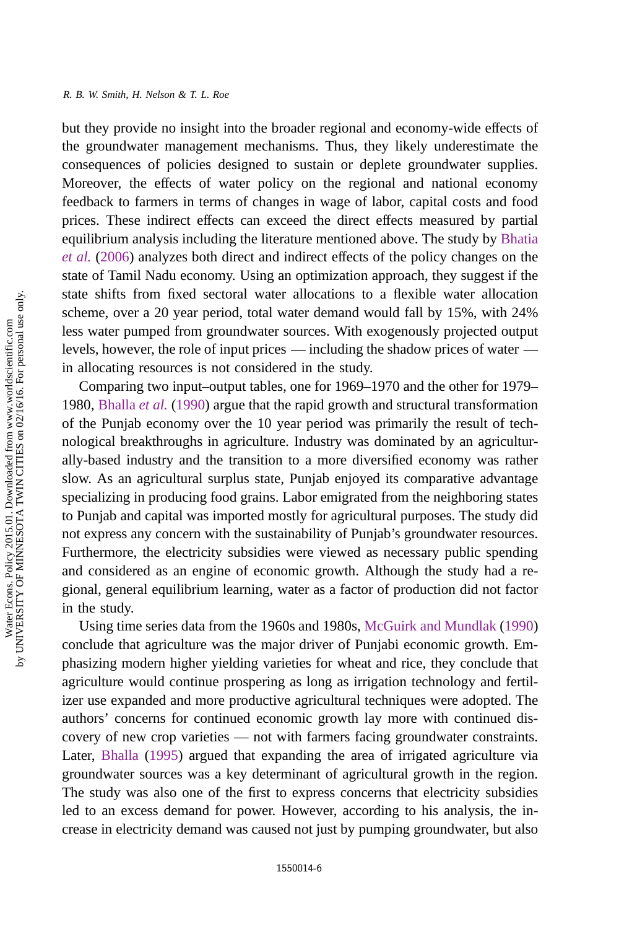but they provide no insight into the broader regional and economy-wide effects of the groundwater management mechanisms. Thus, they likely underestimate the consequences of policies designed to sustain or deplete groundwater supplies. Moreover, the effects of water policy on the regional and national economy feedback to farmers in terms of changes in wage of labor, capital costs and food prices. These indirect effects can exceed the direct effects measured by partial equilibrium analysis including the literature mentioned above. The study by [Bhatia](#page-28-0) [et al.](#page-28-0) ([2006\)](#page-28-0) analyzes both direct and indirect effects of the policy changes on the state of Tamil Nadu economy. Using an optimization approach, they suggest if the state shifts from fixed sectoral water allocations to a flexible water allocation scheme, over a 20 year period, total water demand would fall by 15%, with 24% less water pumped from groundwater sources. With exogenously projected output levels, however, the role of input prices — including the shadow prices of water in allocating resources is not considered in the study.

Comparing two input–output tables, one for 1969–1970 and the other for 1979– 1980, [Bhalla](#page-28-0) et al. ([1990\)](#page-28-0) argue that the rapid growth and structural transformation of the Punjab economy over the 10 year period was primarily the result of technological breakthroughs in agriculture. Industry was dominated by an agriculturally-based industry and the transition to a more diversified economy was rather slow. As an agricultural surplus state, Punjab enjoyed its comparative advantage specializing in producing food grains. Labor emigrated from the neighboring states to Punjab and capital was imported mostly for agricultural purposes. The study did not express any concern with the sustainability of Punjab's groundwater resources. Furthermore, the electricity subsidies were viewed as necessary public spending and considered as an engine of economic growth. Although the study had a regional, general equilibrium learning, water as a factor of production did not factor in the study.

Using time series data from the 1960s and 1980s, [McGuirk and Mundlak](#page-29-0) ([1990\)](#page-29-0) conclude that agriculture was the major driver of Punjabi economic growth. Emphasizing modern higher yielding varieties for wheat and rice, they conclude that agriculture would continue prospering as long as irrigation technology and fertilizer use expanded and more productive agricultural techniques were adopted. The authors' concerns for continued economic growth lay more with continued discovery of new crop varieties — not with farmers facing groundwater constraints. Later, [Bhalla](#page-28-0) ([1995\)](#page-28-0) argued that expanding the area of irrigated agriculture via groundwater sources was a key determinant of agricultural growth in the region. The study was also one of the first to express concerns that electricity subsidies led to an excess demand for power. However, according to his analysis, the increase in electricity demand was caused not just by pumping groundwater, but also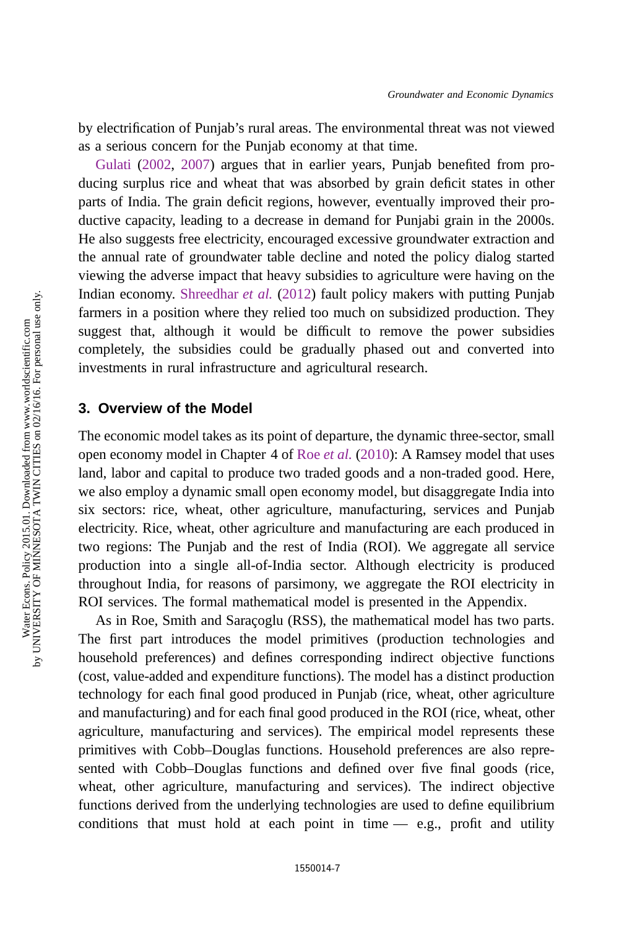<span id="page-6-0"></span>by electrification of Punjab's rural areas. The environmental threat was not viewed as a serious concern for the Punjab economy at that time.

[Gulati](#page-29-0) [\(2002,](#page-29-0) [2007\)](#page-29-0) argues that in earlier years, Punjab benefited from producing surplus rice and wheat that was absorbed by grain deficit states in other parts of India. The grain deficit regions, however, eventually improved their productive capacity, leading to a decrease in demand for Punjabi grain in the 2000s. He also suggests free electricity, encouraged excessive groundwater extraction and the annual rate of groundwater table decline and noted the policy dialog started viewing the adverse impact that heavy subsidies to agriculture were having on the Indian economy. [Shreedhar](#page-30-0) et al. ([2012\)](#page-30-0) fault policy makers with putting Punjab farmers in a position where they relied too much on subsidized production. They suggest that, although it would be difficult to remove the power subsidies completely, the subsidies could be gradually phased out and converted into investments in rural infrastructure and agricultural research.

### 3. Overview of the Model

The economic model takes as its point of departure, the dynamic three-sector, small open economy model in Chapter 4 of Roe [et al.](#page-29-0) ([2010](#page-29-0)): A Ramsey model that uses land, labor and capital to produce two traded goods and a non-traded good. Here, we also employ a dynamic small open economy model, but disaggregate India into six sectors: rice, wheat, other agriculture, manufacturing, services and Punjab electricity. Rice, wheat, other agriculture and manufacturing are each produced in two regions: The Punjab and the rest of India (ROI). We aggregate all service production into a single all-of-India sector. Although electricity is produced throughout India, for reasons of parsimony, we aggregate the ROI electricity in ROI services. The formal mathematical model is presented in the Appendix.

As in Roe, Smith and Saraçoglu (RSS), the mathematical model has two parts. The first part introduces the model primitives (production technologies and household preferences) and defines corresponding indirect objective functions (cost, value-added and expenditure functions). The model has a distinct production technology for each final good produced in Punjab (rice, wheat, other agriculture and manufacturing) and for each final good produced in the ROI (rice, wheat, other agriculture, manufacturing and services). The empirical model represents these primitives with Cobb–Douglas functions. Household preferences are also represented with Cobb–Douglas functions and defined over five final goods (rice, wheat, other agriculture, manufacturing and services). The indirect objective functions derived from the underlying technologies are used to define equilibrium conditions that must hold at each point in time  $-$  e.g., profit and utility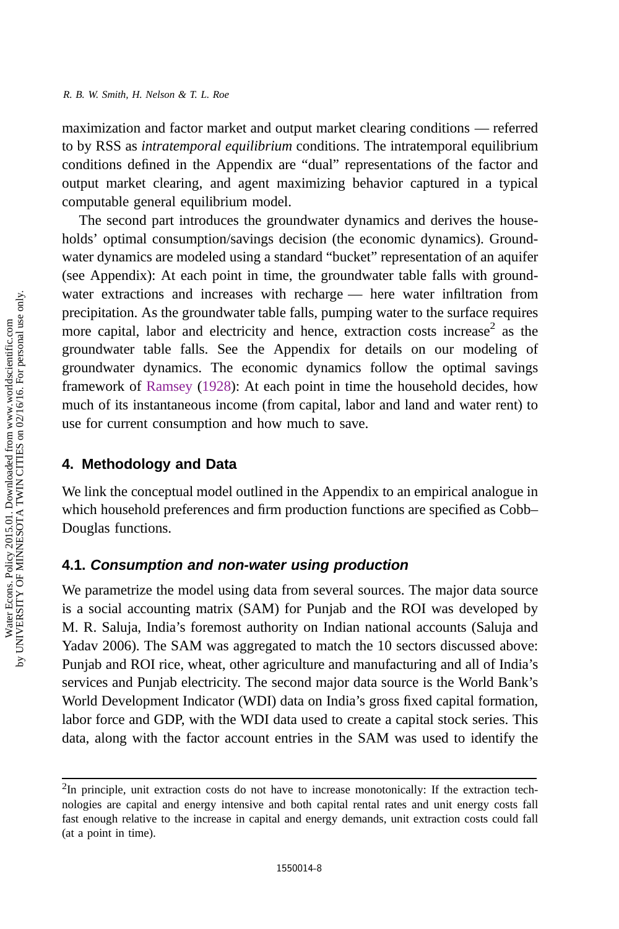<span id="page-7-0"></span>maximization and factor market and output market clearing conditions — referred to by RSS as intratemporal equilibrium conditions. The intratemporal equilibrium conditions defined in the Appendix are "dual" representations of the factor and output market clearing, and agent maximizing behavior captured in a typical computable general equilibrium model.

The second part introduces the groundwater dynamics and derives the households' optimal consumption/savings decision (the economic dynamics). Groundwater dynamics are modeled using a standard "bucket" representation of an aquifer (see Appendix): At each point in time, the groundwater table falls with groundwater extractions and increases with recharge — here water infiltration from precipitation. As the groundwater table falls, pumping water to the surface requires more capital, labor and electricity and hence, extraction costs increase<sup>2</sup> as the groundwater table falls. See the Appendix for details on our modeling of groundwater dynamics. The economic dynamics follow the optimal savings framework of [Ramsey](#page-29-0) ([1928\)](#page-29-0): At each point in time the household decides, how much of its instantaneous income (from capital, labor and land and water rent) to use for current consumption and how much to save.

## 4. Methodology and Data

We link the conceptual model outlined in the Appendix to an empirical analogue in which household preferences and firm production functions are specified as Cobb– Douglas functions.

# 4.1. Consumption and non-water using production

We parametrize the model using data from several sources. The major data source is a social accounting matrix (SAM) for Punjab and the ROI was developed by M. R. Saluja, India's foremost authority on Indian national accounts (Saluja and Yadav 2006). The SAM was aggregated to match the 10 sectors discussed above: Punjab and ROI rice, wheat, other agriculture and manufacturing and all of India's services and Punjab electricity. The second major data source is the World Bank's World Development Indicator (WDI) data on India's gross fixed capital formation, labor force and GDP, with the WDI data used to create a capital stock series. This data, along with the factor account entries in the SAM was used to identify the

 ${}^{2}$ In principle, unit extraction costs do not have to increase monotonically: If the extraction technologies are capital and energy intensive and both capital rental rates and unit energy costs fall fast enough relative to the increase in capital and energy demands, unit extraction costs could fall (at a point in time).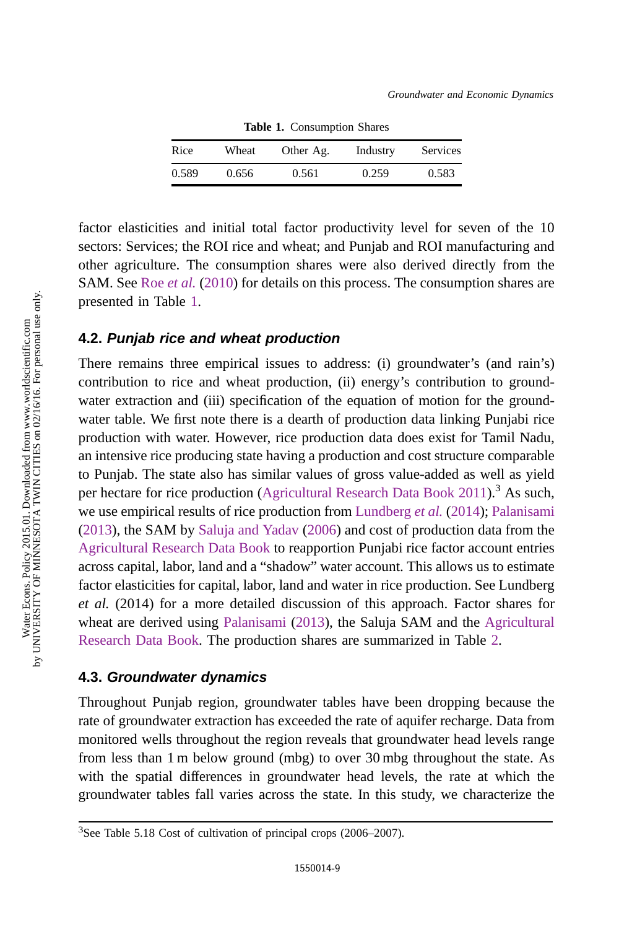Table 1. Consumption Shares

<span id="page-8-0"></span>

| Rice  | Wheat | Other Ag. | Industry | Services |
|-------|-------|-----------|----------|----------|
| 0.589 | 0.656 | 0.561     | 0.259    | 0.583    |

factor elasticities and initial total factor productivity level for seven of the 10 sectors: Services; the ROI rice and wheat; and Punjab and ROI manufacturing and other agriculture. The consumption shares were also derived directly from the SAM. See Roe [et al.](#page-29-0) [\(2010\)](#page-29-0) for details on this process. The consumption shares are presented in Table 1.

### 4.2. Punjab rice and wheat production

There remains three empirical issues to address: (i) groundwater's (and rain's) contribution to rice and wheat production, (ii) energy's contribution to groundwater extraction and (iii) specification of the equation of motion for the groundwater table. We first note there is a dearth of production data linking Punjabi rice production with water. However, rice production data does exist for Tamil Nadu, an intensive rice producing state having a production and cost structure comparable to Punjab. The state also has similar values of gross value-added as well as yield per hectare for rice production ([Agricultural Research Data Book 2011\)](#page-28-0).<sup>3</sup> As such, we use empirical results of rice production from [Lundberg](#page-29-0) et al. ([2014\)](#page-29-0); [Palanisami](#page-29-0) ([2013\)](#page-29-0), the SAM by [Saluja and Yadav](#page-30-0) ([2006\)](#page-30-0) and cost of production data from the [Agricultural Research Data Book](#page-28-0) to reapportion Punjabi rice factor account entries across capital, labor, land and a "shadow" water account. This allows us to estimate factor elasticities for capital, labor, land and water in rice production. See Lundberg et al. (2014) for a more detailed discussion of this approach. Factor shares for wheat are derived using [Palanisami](#page-29-0) ([2013](#page-29-0)), the Saluja SAM and the [Agricultural](#page-28-0) [Research Data Book.](#page-28-0) The production shares are summarized in Table [2.](#page-9-0)

#### 4.3. Groundwater dynamics

Throughout Punjab region, groundwater tables have been dropping because the rate of groundwater extraction has exceeded the rate of aquifer recharge. Data from monitored wells throughout the region reveals that groundwater head levels range from less than 1 m below ground (mbg) to over 30 mbg throughout the state. As with the spatial differences in groundwater head levels, the rate at which the groundwater tables fall varies across the state. In this study, we characterize the

<sup>&</sup>lt;sup>3</sup>See Table 5.18 Cost of cultivation of principal crops (2006–2007).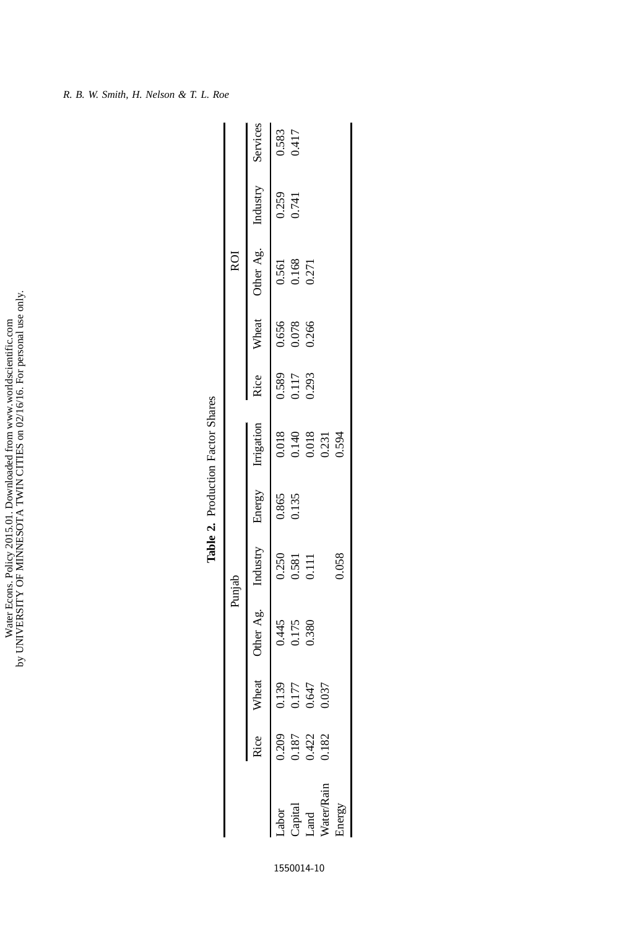|                                                                |                                                                          |           |                         |                                                        |                | Table 2. Production Factor Shares |                         |                         |                |                |                |
|----------------------------------------------------------------|--------------------------------------------------------------------------|-----------|-------------------------|--------------------------------------------------------|----------------|-----------------------------------|-------------------------|-------------------------|----------------|----------------|----------------|
|                                                                |                                                                          |           |                         | Punjab                                                 |                |                                   |                         |                         | ROI            |                |                |
|                                                                | Rice                                                                     | Wheat     |                         | Other Ag. Industry                                     | Energy         | Irrigation                        | Rice                    | Wheat                   | Other Ag.      | Industry       | Services       |
|                                                                | $\begin{array}{c} 0.209 \\ 0.187 \\ 0.422 \\ 0.182 \\ 0.182 \end{array}$ | 0.139     |                         |                                                        | 0.865<br>0.135 |                                   |                         |                         | 0.561          | 0.259<br>0.741 | 0.583<br>0.417 |
| Labor<br>Capital<br>Land<br>Water/Rain (<br>Water/Rain (Energy |                                                                          | $0.177\,$ | 0.445<br>0.175<br>0.380 | $\begin{array}{c} 0.250 \\ 0.581 \\ 0.111 \end{array}$ |                | 0.018<br>0.140<br>0.018<br>0.594  | 0.589<br>0.117<br>0.293 | 0.656<br>0.078<br>0.266 | 0.168<br>0.271 |                |                |
|                                                                |                                                                          | 0.647     |                         |                                                        |                |                                   |                         |                         |                |                |                |
|                                                                |                                                                          | 0.037     |                         |                                                        |                |                                   |                         |                         |                |                |                |
|                                                                |                                                                          |           |                         | 0.058                                                  |                |                                   |                         |                         |                |                |                |

<span id="page-9-0"></span>R. B. W. Smith, H. Nelson & T. L. Roe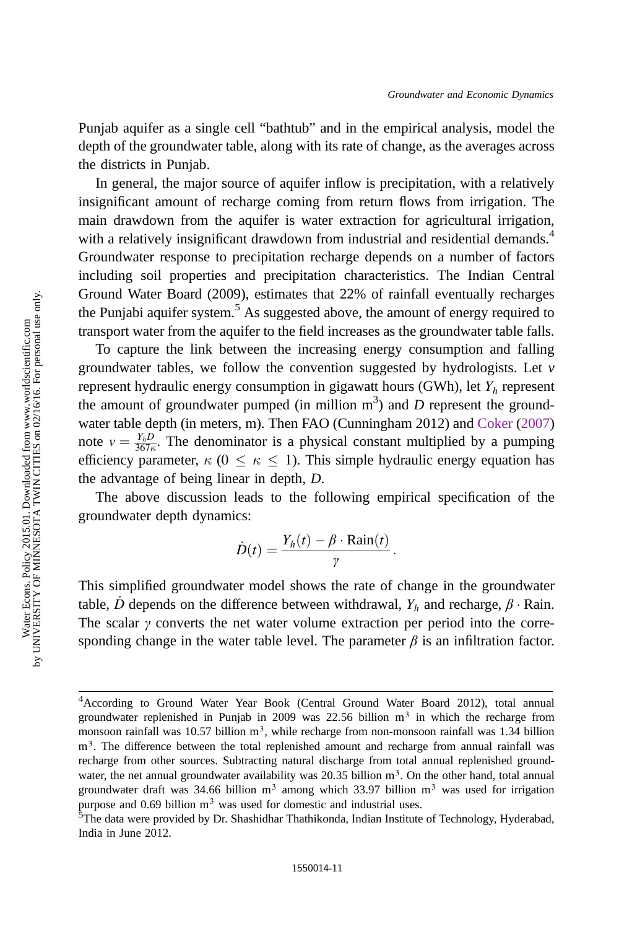Punjab aquifer as a single cell "bathtub" and in the empirical analysis, model the depth of the groundwater table, along with its rate of change, as the averages across the districts in Punjab.

In general, the major source of aquifer inflow is precipitation, with a relatively insignificant amount of recharge coming from return flows from irrigation. The main drawdown from the aquifer is water extraction for agricultural irrigation, with a relatively insignificant drawdown from industrial and residential demands.<sup>4</sup> Groundwater response to precipitation recharge depends on a number of factors including soil properties and precipitation characteristics. The Indian Central Ground Water Board (2009), estimates that 22% of rainfall eventually recharges the Punjabi aquifer system.<sup>5</sup> As suggested above, the amount of energy required to transport water from the aquifer to the field increases as the groundwater table falls.

To capture the link between the increasing energy consumption and falling groundwater tables, we follow the convention suggested by hydrologists. Let v represent hydraulic energy consumption in gigawatt hours (GWh), let  $Y_h$  represent the amount of groundwater pumped (in million  $m^3$ ) and D represent the groundwater table depth (in meters, m). Then FAO (Cunningham 2012) and [Coker](#page-28-0) ([2007\)](#page-28-0) note  $v = \frac{Y_h D}{367\kappa}$ . The denominator is a physical constant multiplied by a pumping<br>efficiency parameter  $\kappa$  (0 <  $\kappa$  < 1). This simple bydraulic energy equation bas efficiency parameter,  $\kappa$  ( $0 \leq \kappa \leq 1$ ). This simple hydraulic energy equation has the advantage of being linear in depth, D.

The above discussion leads to the following empirical specification of the groundwater depth dynamics:

$$
\dot{D}(t) = \frac{Y_h(t) - \beta \cdot \text{Rain}(t)}{\gamma}.
$$

This simplified groundwater model shows the rate of change in the groundwater table,  $\dot{D}$  depends on the difference between withdrawal,  $Y_h$  and recharge,  $\beta \cdot$  Rain. The scalar  $\gamma$  converts the net water volume extraction per period into the corresponding change in the water table level. The parameter  $\beta$  is an infiltration factor.

<sup>4</sup> According to Ground Water Year Book (Central Ground Water Board 2012), total annual groundwater replenished in Punjab in 2009 was 22.56 billion  $m<sup>3</sup>$  in which the recharge from monsoon rainfall was 10.57 billion  $m<sup>3</sup>$ , while recharge from non-monsoon rainfall was 1.34 billion m<sup>3</sup>. The difference between the total replenished amount and recharge from annual rainfall was recharge from other sources. Subtracting natural discharge from total annual replenished groundwater, the net annual groundwater availability was 20.35 billion  $m<sup>3</sup>$ . On the other hand, total annual groundwater draft was 34.66 billion  $m<sup>3</sup>$  among which 33.97 billion  $m<sup>3</sup>$  was used for irrigation purpose and 0.69 billion  $m<sup>3</sup>$  was used for domestic and industrial uses.

 $5$ The data were provided by Dr. Shashidhar Thathikonda, Indian Institute of Technology, Hyderabad, India in June 2012.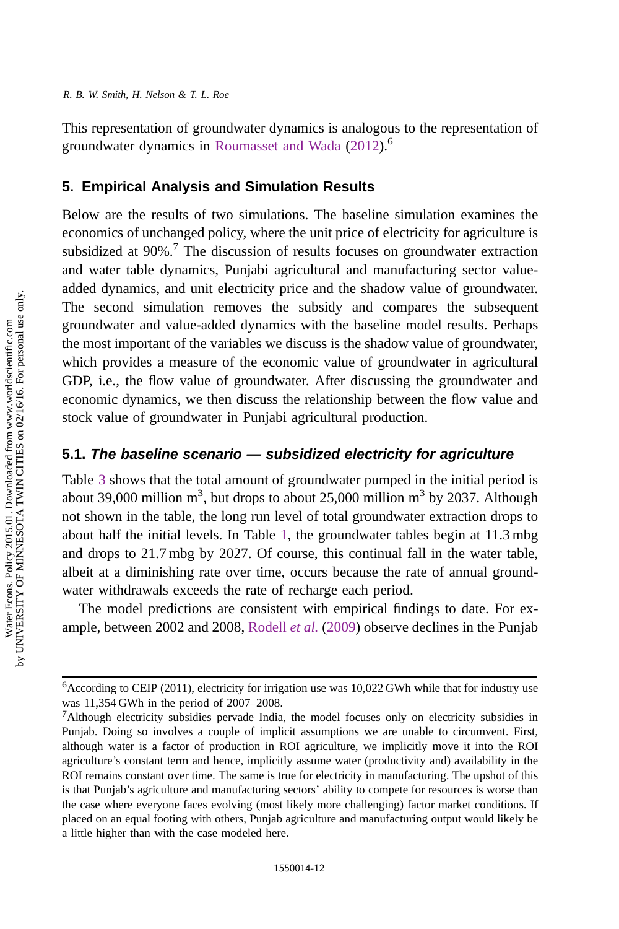<span id="page-11-0"></span>This representation of groundwater dynamics is analogous to the representation of groundwater dynamics in [Roumasset and Wada](#page-29-0) ([2012\)](#page-29-0).<sup>6</sup>

### 5. Empirical Analysis and Simulation Results

Below are the results of two simulations. The baseline simulation examines the economics of unchanged policy, where the unit price of electricity for agriculture is subsidized at 90%.<sup>7</sup> The discussion of results focuses on groundwater extraction and water table dynamics, Punjabi agricultural and manufacturing sector valueadded dynamics, and unit electricity price and the shadow value of groundwater. The second simulation removes the subsidy and compares the subsequent groundwater and value-added dynamics with the baseline model results. Perhaps the most important of the variables we discuss is the shadow value of groundwater, which provides a measure of the economic value of groundwater in agricultural GDP, i.e., the flow value of groundwater. After discussing the groundwater and economic dynamics, we then discuss the relationship between the flow value and stock value of groundwater in Punjabi agricultural production.

### 5.1. The baseline scenario — subsidized electricity for agriculture

Table [3](#page-12-0) shows that the total amount of groundwater pumped in the initial period is about 39,000 million m<sup>3</sup>, but drops to about 25,000 million m<sup>3</sup> by 2037. Although not shown in the table, the long run level of total groundwater extraction drops to about half the initial levels. In Table [1](#page-8-0), the groundwater tables begin at 11.3 mbg and drops to 21.7 mbg by 2027. Of course, this continual fall in the water table, albeit at a diminishing rate over time, occurs because the rate of annual groundwater withdrawals exceeds the rate of recharge each period.

The model predictions are consistent with empirical findings to date. For example, between 2002 and 2008, [Rodell](#page-29-0) et al. ([2009\)](#page-29-0) observe declines in the Punjab

<sup>&</sup>lt;sup>6</sup> According to CEIP (2011), electricity for irrigation use was 10,022 GWh while that for industry use was 11,354 GWh in the period of 2007–2008.

<sup>&</sup>lt;sup>7</sup>Although electricity subsidies pervade India, the model focuses only on electricity subsidies in Punjab. Doing so involves a couple of implicit assumptions we are unable to circumvent. First, although water is a factor of production in ROI agriculture, we implicitly move it into the ROI agriculture's constant term and hence, implicitly assume water (productivity and) availability in the ROI remains constant over time. The same is true for electricity in manufacturing. The upshot of this is that Punjab's agriculture and manufacturing sectors' ability to compete for resources is worse than the case where everyone faces evolving (most likely more challenging) factor market conditions. If placed on an equal footing with others, Punjab agriculture and manufacturing output would likely be a little higher than with the case modeled here.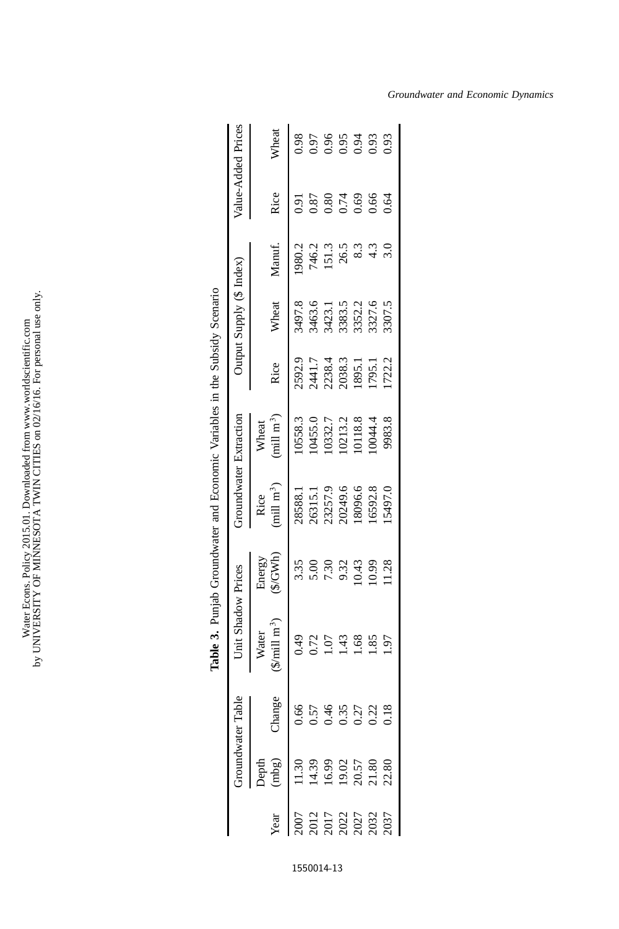<span id="page-12-0"></span>

|                                      |                                                                          |                  |                               | respectively in the property control to the control of the control of the control of the control of the control of the control of the control of the control of the control of the control of the control of the control of th |                                        |                                 |                  |                          |                  |      |                    |
|--------------------------------------|--------------------------------------------------------------------------|------------------|-------------------------------|--------------------------------------------------------------------------------------------------------------------------------------------------------------------------------------------------------------------------------|----------------------------------------|---------------------------------|------------------|--------------------------|------------------|------|--------------------|
|                                      | Froundwater 1                                                            | Cable            | Unit Shadow Prices            |                                                                                                                                                                                                                                |                                        | Groundwater Extraction          |                  | Output Supply (\$ Index) |                  |      | Value-Added Prices |
|                                      |                                                                          | ange             | $(\text{Small m}^3)$<br>Water | (S/GWh)<br>Energy                                                                                                                                                                                                              | $\left(\text{mill m}^3\right)$<br>Rice | (mill m <sup>3</sup> )<br>Wheat | Rice             | Wheat                    | Manuf.           | Rice | Wheat              |
|                                      | 1.30                                                                     | 89               | 0.49                          | 3.35                                                                                                                                                                                                                           | 28588.1                                | 10558.3                         |                  | 3497.8                   | 1980.2           | 5.   | 0.98               |
|                                      | 14.39                                                                    | 57               | 0.72                          | 5.00                                                                                                                                                                                                                           |                                        | 10455.0                         | 2592.9<br>2441.7 | 3463.6                   | 746.2            | 0.87 | 0.97               |
|                                      |                                                                          | 46               | 1.07                          | 7.30                                                                                                                                                                                                                           |                                        | 10332.7                         | 2238.4           | 3423.1                   | 151.3            | 0.80 | 0.96               |
| 2012<br>2017<br>2027<br>2037<br>2037 | $\begin{array}{c} 16.99 \\ 19.02 \\ 20.57 \\ 21.80 \\ 22.80 \end{array}$ |                  | 1.43                          | 9.32                                                                                                                                                                                                                           | 26315.1<br>23257.9<br>20249.6          | 10213.2                         | 2038.3<br>1895.1 | 3383.5                   | 26.5             | 0.74 | 0.95               |
|                                      |                                                                          | $0.35$<br>$0.27$ | 1.68                          | 10.43                                                                                                                                                                                                                          | 18096.6                                | 10118.8                         |                  | 3352.2                   | 8.3              | 0.69 | 0.94               |
|                                      |                                                                          |                  | 1.85                          | 10.99                                                                                                                                                                                                                          | 16592.8                                | 10044.4                         | 1795.1           | 3327.6                   | $4.\overline{3}$ | 0.66 | 0.93               |
|                                      |                                                                          |                  | 1.97                          | 11.28                                                                                                                                                                                                                          | 15497.0                                | 9983.8                          | 1722.2           | 3307.5                   | 3.0              | 0.64 | 0.93               |

**Table 3.** Puniah Groundwater and Economic Variables in the Subsidy Scenario Table 3. Punjab Groundwater and Economic Variables in the Subsidy Scenario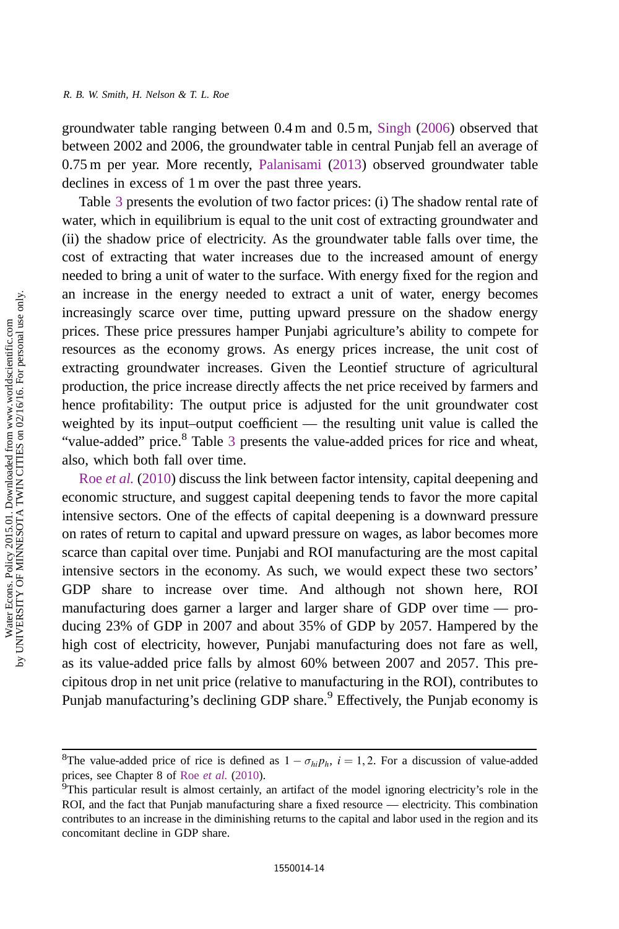groundwater table ranging between 0.4 m and 0.5 m, [Singh](#page-30-0) ([2006\)](#page-30-0) observed that between 2002 and 2006, the groundwater table in central Punjab fell an average of 0.75 m per year. More recently, [Palanisami](#page-29-0) ([2013](#page-29-0)) observed groundwater table declines in excess of 1 m over the past three years.

Table [3](#page-12-0) presents the evolution of two factor prices: (i) The shadow rental rate of water, which in equilibrium is equal to the unit cost of extracting groundwater and (ii) the shadow price of electricity. As the groundwater table falls over time, the cost of extracting that water increases due to the increased amount of energy needed to bring a unit of water to the surface. With energy fixed for the region and an increase in the energy needed to extract a unit of water, energy becomes increasingly scarce over time, putting upward pressure on the shadow energy prices. These price pressures hamper Punjabi agriculture's ability to compete for resources as the economy grows. As energy prices increase, the unit cost of extracting groundwater increases. Given the Leontief structure of agricultural production, the price increase directly affects the net price received by farmers and hence profitability: The output price is adjusted for the unit groundwater cost weighted by its input–output coefficient — the resulting unit value is called the "value-added" price. $8$  Table [3](#page-12-0) presents the value-added prices for rice and wheat, also, which both fall over time.

Roe [et al.](#page-29-0) ([2010\)](#page-29-0) discuss the link between factor intensity, capital deepening and economic structure, and suggest capital deepening tends to favor the more capital intensive sectors. One of the effects of capital deepening is a downward pressure on rates of return to capital and upward pressure on wages, as labor becomes more scarce than capital over time. Punjabi and ROI manufacturing are the most capital intensive sectors in the economy. As such, we would expect these two sectors' GDP share to increase over time. And although not shown here, ROI manufacturing does garner a larger and larger share of GDP over time — producing 23% of GDP in 2007 and about 35% of GDP by 2057. Hampered by the high cost of electricity, however, Punjabi manufacturing does not fare as well, as its value-added price falls by almost 60% between 2007 and 2057. This precipitous drop in net unit price (relative to manufacturing in the ROI), contributes to Punjab manufacturing's declining GDP share.<sup>9</sup> Effectively, the Punjab economy is

<sup>&</sup>lt;sup>8</sup>The value-added price of rice is defined as  $1 - \sigma_{hi} p_h$ ,  $i = 1, 2$ . For a discussion of value-added prices see Chapter 8 of Roe et al. (2010) prices, see Chapter 8 of Roe [et al.](#page-29-0) ([2010\)](#page-29-0).

<sup>&</sup>lt;sup>9</sup>This particular result is almost certainly, an artifact of the model ignoring electricity's role in the ROI, and the fact that Punjab manufacturing share a fixed resource — electricity. This combination contributes to an increase in the diminishing returns to the capital and labor used in the region and its concomitant decline in GDP share.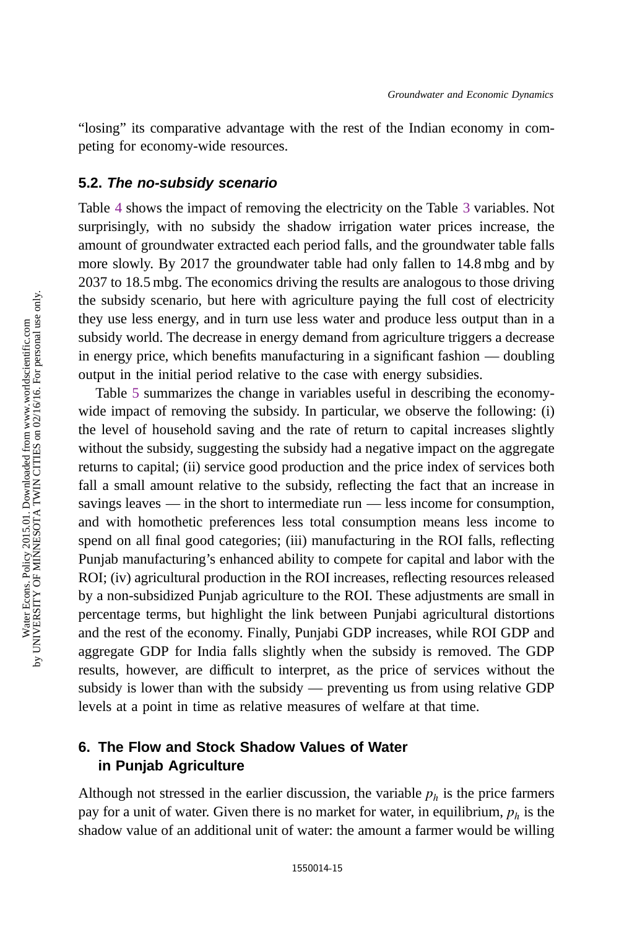<span id="page-14-0"></span>"losing" its comparative advantage with the rest of the Indian economy in competing for economy-wide resources.

### 5.2. The no-subsidy scenario

Table [4](#page-15-0) shows the impact of removing the electricity on the Table [3](#page-12-0) variables. Not surprisingly, with no subsidy the shadow irrigation water prices increase, the amount of groundwater extracted each period falls, and the groundwater table falls more slowly. By 2017 the groundwater table had only fallen to 14.8 mbg and by 2037 to 18.5 mbg. The economics driving the results are analogous to those driving the subsidy scenario, but here with agriculture paying the full cost of electricity they use less energy, and in turn use less water and produce less output than in a subsidy world. The decrease in energy demand from agriculture triggers a decrease in energy price, which benefits manufacturing in a significant fashion — doubling output in the initial period relative to the case with energy subsidies.

Table [5](#page-15-0) summarizes the change in variables useful in describing the economywide impact of removing the subsidy. In particular, we observe the following: (i) the level of household saving and the rate of return to capital increases slightly without the subsidy, suggesting the subsidy had a negative impact on the aggregate returns to capital; (ii) service good production and the price index of services both fall a small amount relative to the subsidy, reflecting the fact that an increase in savings leaves — in the short to intermediate run — less income for consumption, and with homothetic preferences less total consumption means less income to spend on all final good categories; (iii) manufacturing in the ROI falls, reflecting Punjab manufacturing's enhanced ability to compete for capital and labor with the ROI; (iv) agricultural production in the ROI increases, reflecting resources released by a non-subsidized Punjab agriculture to the ROI. These adjustments are small in percentage terms, but highlight the link between Punjabi agricultural distortions and the rest of the economy. Finally, Punjabi GDP increases, while ROI GDP and aggregate GDP for India falls slightly when the subsidy is removed. The GDP results, however, are difficult to interpret, as the price of services without the subsidy is lower than with the subsidy — preventing us from using relative GDP levels at a point in time as relative measures of welfare at that time.

# 6. The Flow and Stock Shadow Values of Water in Punjab Agriculture

Although not stressed in the earlier discussion, the variable  $p_h$  is the price farmers pay for a unit of water. Given there is no market for water, in equilibrium,  $p_h$  is the shadow value of an additional unit of water: the amount a farmer would be willing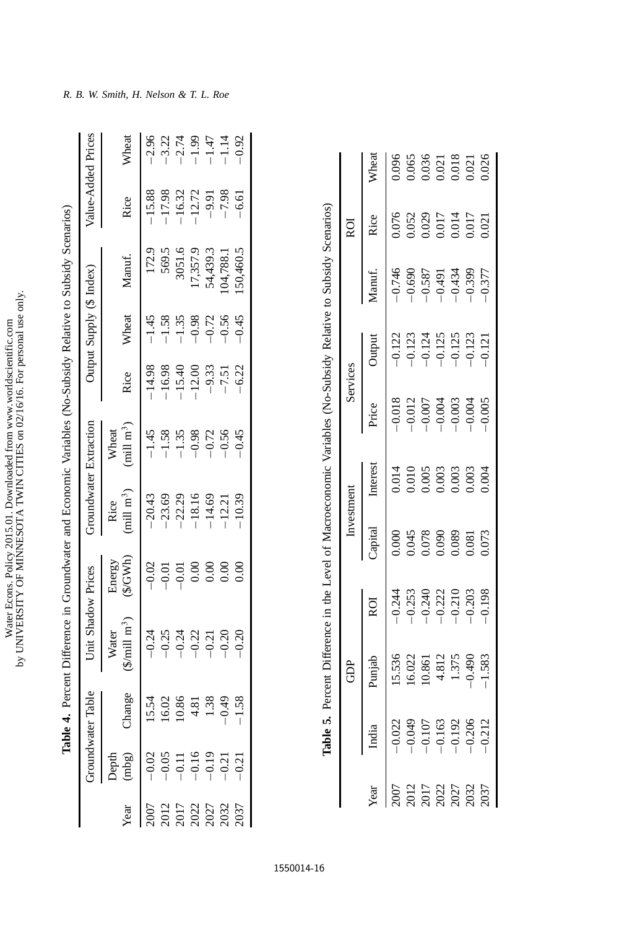<span id="page-15-0"></span>

| Table                                                                                                                                                                                                                                                                                            |  | 4. Percent Difference in Groundwater and Economic Variables (No-Subsidy Relative to Subsidy Scenarios) |                   |                      |                                    |          |                          |          |                    |                               |
|--------------------------------------------------------------------------------------------------------------------------------------------------------------------------------------------------------------------------------------------------------------------------------------------------|--|--------------------------------------------------------------------------------------------------------|-------------------|----------------------|------------------------------------|----------|--------------------------|----------|--------------------|-------------------------------|
| Unit Shadow Prices<br>Table<br><b>Froundwater</b>                                                                                                                                                                                                                                                |  |                                                                                                        |                   |                      | Groundwater Extraction             |          | Output Supply (\$ Index) |          | Value-Added Prices |                               |
| $(\text{Small } m^3)$<br>Water<br>hange<br>Depth<br>(mbg)                                                                                                                                                                                                                                        |  |                                                                                                        | (S/GWh)<br>Energy | $(mil)$ $m3$<br>Rice | $\text{mill } \text{m}^3$<br>Wheat | Rice     | Wheat                    | Manuf.   | Rice               | Wheat                         |
| $-0.24$<br>15.54<br>$\begin{array}{ l l l l l }\hline 0.02 & 0.05 & 0.01 & 0.01 & 0.01 & 0.01 & 0.01 & 0.01 & 0.01 & 0.01 & 0.01 & 0.01 & 0.01 & 0.01 & 0.01 & 0.01 & 0.01 & 0.01 & 0.01 & 0.01 & 0.01 & 0.01 & 0.01 & 0.01 & 0.01 & 0.01 & 0.01 & 0.01 & 0.01 & 0.01 & 0.01 & 0.01 & 0.01 & 0.$ |  |                                                                                                        | $-0.02$           | $-20.43$             | $-1.45$                            | 14.98    | $-1.45$                  | 172.9    | 15.88              | 2.96                          |
| $-0.25$<br>16.02                                                                                                                                                                                                                                                                                 |  |                                                                                                        | $-0.01$           | $-23.69$             | $-1.58$                            | $-16.98$ | $-1.58$                  | 569.5    | $-17.98$           | 3.22                          |
| $-0.24$<br>10.86                                                                                                                                                                                                                                                                                 |  |                                                                                                        | $-0.01$           | $-22.29$             | $-1.35$                            | $-15.40$ | $-1.35$                  | 3051.6   | $-16.32$           |                               |
| $-0.22$<br>4.81                                                                                                                                                                                                                                                                                  |  |                                                                                                        | 0.00              | $-18.16$             | $-0.98$                            | $-12.00$ | $-0.98$                  | 17,357.9 | $-12.72$           | $-2.74$<br>$-1.99$<br>$-1.47$ |
| $-0.21$<br>1.38                                                                                                                                                                                                                                                                                  |  |                                                                                                        | 0.00              | $-14.69$             | $-0.72$                            | $-9.33$  | $-0.72$                  | 54,439.3 | $-9.91$            |                               |
| $-0.20$<br>$-0.49$                                                                                                                                                                                                                                                                               |  |                                                                                                        | 0.00              | $-12.21$             | $-0.56$                            | $-7.51$  | $-0.56$                  | 04,788.1 | $-7.98$            | 1.14                          |
| $-0.20$<br>$-1.58$                                                                                                                                                                                                                                                                               |  |                                                                                                        | 0.00              | $-10.39$             | $-0.45$                            | $-6.22$  | $-0.45$                  | 50,460.5 | $-6.61$            | 0.92                          |
|                                                                                                                                                                                                                                                                                                  |  |                                                                                                        |                   |                      |                                    |          |                          |          |                    |                               |

| ļ                                  |
|------------------------------------|
| l                                  |
|                                    |
| ļ<br>I                             |
| <br> <br> <br>$\ddot{\phantom{a}}$ |
| ļ                                  |
| I                                  |
| l                                  |

Table 5. Percent Difference in the Level of Macroeconomic Variables (No-Subsidy Relative to Subsidy Scenarios) Table 5. Percent Difference in the Level of Macroeconomic Variables (No-Subsidy Relative to Subsidy Scenarios)

|                              |                                                          | GDP                                                                         |                                                                                                                         | Investmen                                                       |                                                     | Services                                                                                                                                  |                                                                                  | ROI                                                                                        |                                                                                   |
|------------------------------|----------------------------------------------------------|-----------------------------------------------------------------------------|-------------------------------------------------------------------------------------------------------------------------|-----------------------------------------------------------------|-----------------------------------------------------|-------------------------------------------------------------------------------------------------------------------------------------------|----------------------------------------------------------------------------------|--------------------------------------------------------------------------------------------|-----------------------------------------------------------------------------------|
| Ē                            |                                                          | hmiab                                                                       |                                                                                                                         | <b>Capital</b>                                                  | terres                                              | Jutpu'                                                                                                                                    | Aanuf                                                                            |                                                                                            | Vhea <sup>+</sup>                                                                 |
| $\overline{50}$              |                                                          | 15.536                                                                      |                                                                                                                         | 000.                                                            |                                                     |                                                                                                                                           |                                                                                  | 0.076                                                                                      | 096                                                                               |
| 2012                         | $0.022$<br>$0.049$                                       | 6.022                                                                       | $\begin{array}{r} -0.244 \\ -0.253 \\ -0.240 \\ -0.240 \\ -0.210 \\ -0.210 \\ -0.203 \\ -0.203 \\ -0.03 \\ \end{array}$ | 0.045                                                           | 0.01C                                               | 22<br>0.123 24 25 26<br>0.123 26 27 27 28<br>0.124 27 28 20 21 22 22 23 24 25 26 27 27 27 27 27 27 27 27 27 27 27 27 28 28 29 20 20 20 20 | $-0.746$<br>$-0.690$<br>$-0.587$<br>$-0.587$<br>$-0.434$<br>$-0.399$<br>$-0.377$ | 0.52                                                                                       | $\begin{array}{l} 0.065 \\ 0.036 \\ 0.021 \\ 0.018 \\ 0.018 \\ 0.025 \end{array}$ |
| 2017                         |                                                          |                                                                             |                                                                                                                         | 0.078                                                           |                                                     |                                                                                                                                           |                                                                                  |                                                                                            |                                                                                   |
|                              |                                                          |                                                                             |                                                                                                                         |                                                                 |                                                     |                                                                                                                                           |                                                                                  |                                                                                            |                                                                                   |
|                              |                                                          |                                                                             |                                                                                                                         |                                                                 |                                                     |                                                                                                                                           |                                                                                  |                                                                                            |                                                                                   |
| 2027<br>2027<br>2037<br>2037 | $-0.107$<br>$-0.163$<br>$-0.192$<br>$-0.206$<br>$-0.212$ | $\begin{array}{c} 10.861 \\ 4.812 \\ 1.375 \\ -0.490 \\ -1.583 \end{array}$ |                                                                                                                         | $\begin{array}{c} 0.090 \\ 0.089 \\ 0.081 \\ 0.073 \end{array}$ | $0.005$<br>$0.003$<br>$0.003$<br>$0.003$<br>$0.004$ |                                                                                                                                           |                                                                                  | $\begin{array}{c} 0.029 \\ 0.017 \\ 0.014 \\ 0.017 \\ 0.017 \\ 0.021 \\ 0.021 \end{array}$ |                                                                                   |
|                              |                                                          |                                                                             |                                                                                                                         |                                                                 |                                                     |                                                                                                                                           |                                                                                  |                                                                                            |                                                                                   |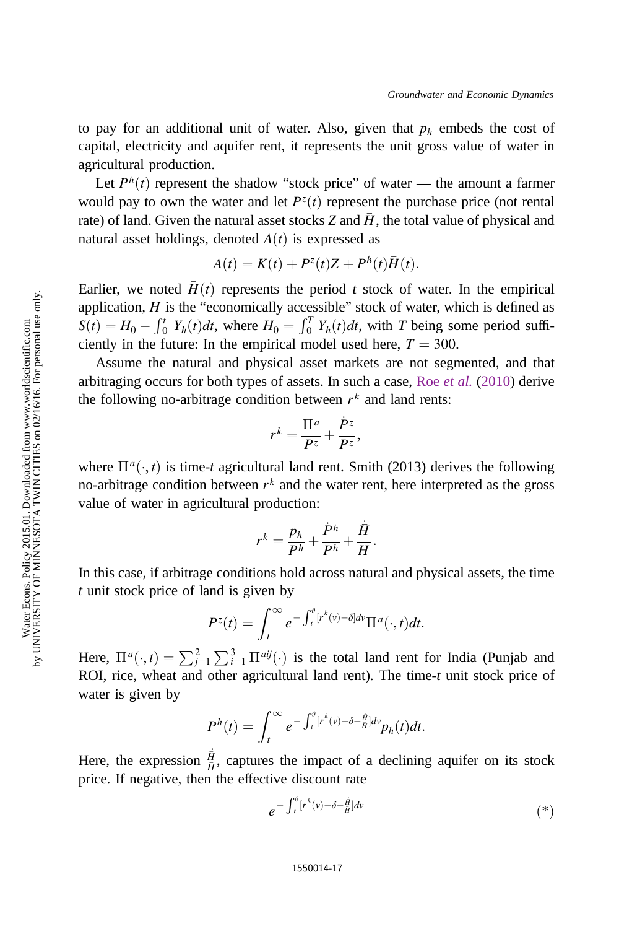to pay for an additional unit of water. Also, given that  $p_h$  embeds the cost of capital, electricity and aquifer rent, it represents the unit gross value of water in agricultural production.

Let  $P<sup>h</sup>(t)$  represent the shadow "stock price" of water — the amount a farmer would pay to own the water and let  $P^{z}(t)$  represent the purchase price (not rental<br>rate) of land. Given the patural asset stocks Z and  $\bar{H}$ , the total value of physical and rate) of land. Given the natural asset stocks Z and  $\bar{H}$ , the total value of physical and natural asset holdings, denoted  $A(t)$  is expressed as

$$
A(t) = K(t) + Pz(t)Z + Ph(t)\overline{H}(t).
$$

Earlier, we noted  $\bar{H}(t)$  represents the period t stock of water. In the empirical application,  $\bar{H}$  is the "economically accessible" stock of water, which is defined as  $S(t) = H_0 - \int_0^t Y_h(t)dt$ , where  $H_0 = \int_0^T Y_h(t)dt$ , with T being some period suffi-<br>ciontly in the future: In the empirical model used bere  $T = 300$ ciently in the future: In the empirical model used here,  $T = 300$ .

Assume the natural and physical asset markets are not segmented, and that arbitraging occurs for both types of assets. In such a case, Roe [et al.](#page-29-0) ([2010\)](#page-29-0) derive the following no-arbitrage condition between  $r^k$  and land rents:

$$
r^k = \frac{\Pi^a}{P^z} + \frac{\dot{P}^z}{P^z},
$$

where  $\Pi^a(\cdot, t)$  is time-t agricultural land rent. Smith (2013) derives the following<br>no arbitrage condition between  $x^k$  and the water rent, bere interpreted as the gross no-arbitrage condition between  $r<sup>k</sup>$  and the water rent, here interpreted as the gross value of water in agricultural production:

$$
r^k = \frac{p_h}{P^h} + \frac{\dot{P}^h}{P^h} + \frac{\dot{\bar{H}}}{\bar{H}}.
$$

In this case, if arbitrage conditions hold across natural and physical assets, the time t unit stock price of land is given by

$$
P^{z}(t)=\int_{t}^{\infty}e^{-\int_{t}^{\theta}[r^{k}(v)-\delta]dv}\Pi^{a}(\cdot,t)dt.
$$

Here,  $\Pi^a(\cdot, t) = \sum_{j=1}^2 \sum_{i=1}^3 \Pi^{aij}(\cdot)$  is the total land rent for India (Punjab and<br>POL rice wheat and other agricultural land rent). The time t unit stock price of ROI, rice, wheat and other agricultural land rent). The time-t unit stock price of water is given by

$$
P^h(t)=\int_t^\infty e^{-\int_t^{\theta}[r^k(v)-\delta-\frac{\hat{H}}{H}]dv}p_h(t)dt.
$$

Here, the expression  $\frac{\dot{H}}{H}$ , captures the impact of a declining aquifer on its stock price. If negative, then the effective discount rate

$$
e^{-\int_t^{\vartheta} [r^k(v) - \delta - \frac{\hat{H}}{H}] dv} \tag{*}
$$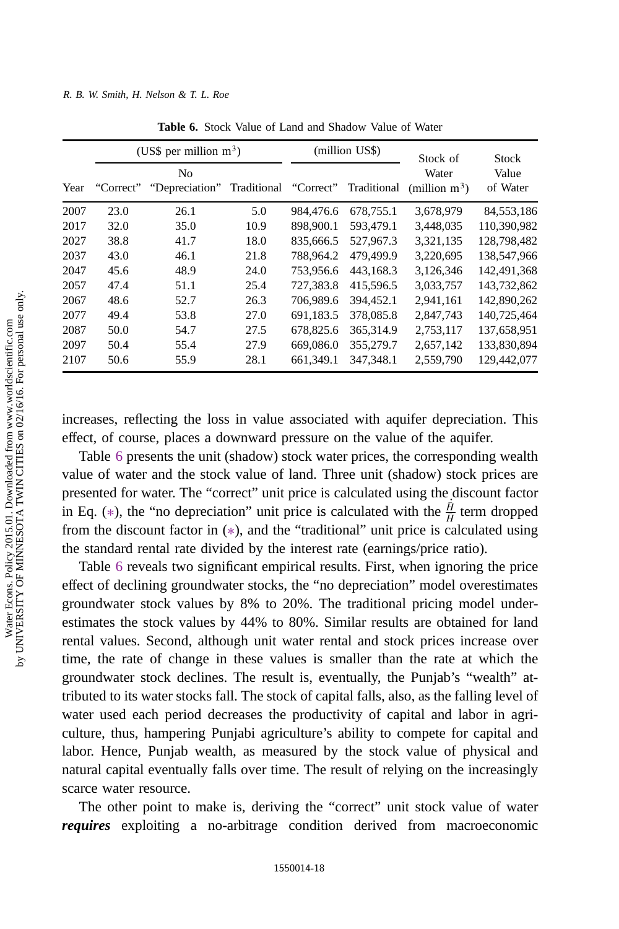|      |      | (US\$ per million $m^3$ )                  |                       |           | (million US\$) | Stock of                  | Stock             |
|------|------|--------------------------------------------|-----------------------|-----------|----------------|---------------------------|-------------------|
| Year |      | N <sub>0</sub><br>"Correct" "Depreciation" | Traditional "Correct" |           | Traditional    | Water<br>(million $m^3$ ) | Value<br>of Water |
| 2007 | 23.0 | 26.1                                       | 5.0                   | 984,476.6 | 678,755.1      | 3,678,979                 | 84,553,186        |
| 2017 | 32.0 | 35.0                                       | 10.9                  | 898,900.1 | 593,479.1      | 3,448,035                 | 110,390,982       |
| 2027 | 38.8 | 41.7                                       | 18.0                  | 835.666.5 | 527,967.3      | 3,321,135                 | 128,798,482       |
| 2037 | 43.0 | 46.1                                       | 21.8                  | 788.964.2 | 479.499.9      | 3,220,695                 | 138,547,966       |
| 2047 | 45.6 | 48.9                                       | 24.0                  | 753,956.6 | 443,168.3      | 3,126,346                 | 142,491,368       |
| 2057 | 47.4 | 51.1                                       | 25.4                  | 727,383.8 | 415,596.5      | 3,033,757                 | 143,732,862       |
| 2067 | 48.6 | 52.7                                       | 26.3                  | 706,989.6 | 394.452.1      | 2,941,161                 | 142,890,262       |
| 2077 | 49.4 | 53.8                                       | 27.0                  | 691.183.5 | 378,085.8      | 2,847,743                 | 140,725,464       |
| 2087 | 50.0 | 54.7                                       | 27.5                  | 678,825.6 | 365,314.9      | 2,753,117                 | 137,658,951       |
| 2097 | 50.4 | 55.4                                       | 27.9                  | 669,086.0 | 355,279.7      | 2,657,142                 | 133,830,894       |
| 2107 | 50.6 | 55.9                                       | 28.1                  | 661,349.1 | 347,348.1      | 2,559,790                 | 129,442,077       |

Table 6. Stock Value of Land and Shadow Value of Water

increases, reflecting the loss in value associated with aquifer depreciation. This effect, of course, places a downward pressure on the value of the aquifer.

Table 6 presents the unit (shadow) stock water prices, the corresponding wealth value of water and the stock value of land. Three unit (shadow) stock prices are presented for water. The "correct" unit price is calculated using the discount factor in Eq. (\*), the "no depreciation" unit price is calculated with the  $\frac{\dot{H}}{H}$  term dropped from the discount factor in  $(*)$ , and the "traditional" unit price is calculated using the standard rental rate divided by the interest rate (earnings/price ratio).

Table 6 reveals two significant empirical results. First, when ignoring the price effect of declining groundwater stocks, the "no depreciation" model overestimates groundwater stock values by 8% to 20%. The traditional pricing model underestimates the stock values by 44% to 80%. Similar results are obtained for land rental values. Second, although unit water rental and stock prices increase over time, the rate of change in these values is smaller than the rate at which the groundwater stock declines. The result is, eventually, the Punjab's "wealth" attributed to its water stocks fall. The stock of capital falls, also, as the falling level of water used each period decreases the productivity of capital and labor in agriculture, thus, hampering Punjabi agriculture's ability to compete for capital and labor. Hence, Punjab wealth, as measured by the stock value of physical and natural capital eventually falls over time. The result of relying on the increasingly scarce water resource.

The other point to make is, deriving the "correct" unit stock value of water **requires** exploiting a no-arbitrage condition derived from macroeconomic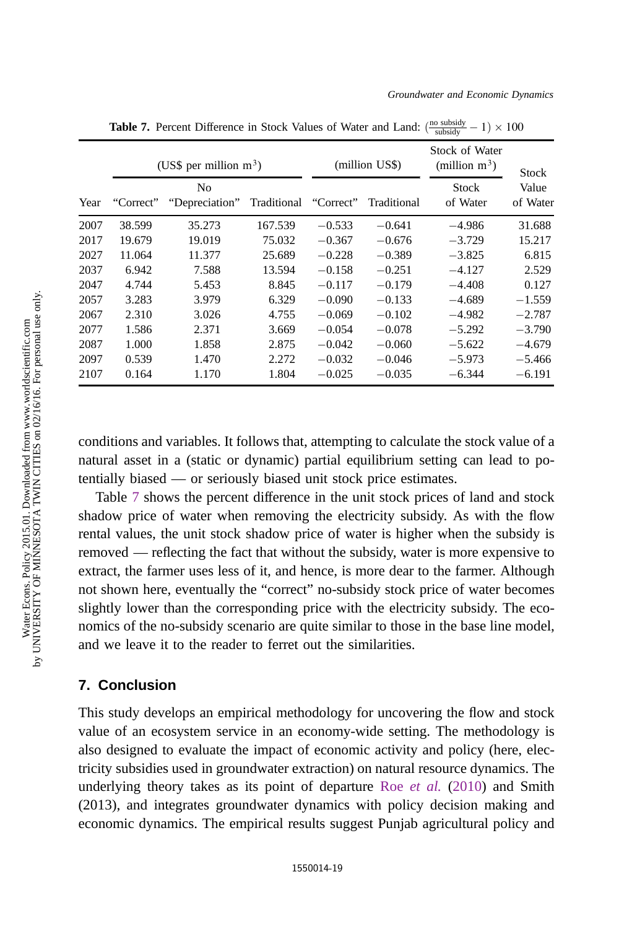|      |           | (US\$ per million $m^3$ ) |             |           | (million US\$) | Stock of Water<br>(million $m^3$ ) | <b>Stock</b>      |
|------|-----------|---------------------------|-------------|-----------|----------------|------------------------------------|-------------------|
| Year | "Correct" | No<br>"Depreciation"      | Traditional | "Correct" | Traditional    | Stock<br>of Water                  | Value<br>of Water |
| 2007 | 38.599    | 35.273                    | 167.539     | $-0.533$  | $-0.641$       | $-4.986$                           | 31.688            |
| 2017 | 19.679    | 19.019                    | 75.032      | $-0.367$  | $-0.676$       | $-3.729$                           | 15.217            |
| 2027 | 11.064    | 11.377                    | 25.689      | $-0.228$  | $-0.389$       | $-3.825$                           | 6.815             |
| 2037 | 6.942     | 7.588                     | 13.594      | $-0.158$  | $-0.251$       | $-4.127$                           | 2.529             |
| 2047 | 4.744     | 5.453                     | 8.845       | $-0.117$  | $-0.179$       | $-4.408$                           | 0.127             |
| 2057 | 3.283     | 3.979                     | 6.329       | $-0.090$  | $-0.133$       | $-4.689$                           | $-1.559$          |
| 2067 | 2.310     | 3.026                     | 4.755       | $-0.069$  | $-0.102$       | $-4.982$                           | $-2.787$          |
| 2077 | 1.586     | 2.371                     | 3.669       | $-0.054$  | $-0.078$       | $-5.292$                           | $-3.790$          |
| 2087 | 1.000     | 1.858                     | 2.875       | $-0.042$  | $-0.060$       | $-5.622$                           | $-4.679$          |
| 2097 | 0.539     | 1.470                     | 2.272       | $-0.032$  | $-0.046$       | $-5.973$                           | $-5.466$          |
| 2107 | 0.164     | 1.170                     | 1.804       | $-0.025$  | $-0.035$       | $-6.344$                           | $-6.191$          |

**Table 7.** Percent Difference in Stock Values of Water and Land:  $\left(\frac{no \text{ subsidy}}{\text{subsidy}} - 1\right) \times 100$ 

conditions and variables. It follows that, attempting to calculate the stock value of a natural asset in a (static or dynamic) partial equilibrium setting can lead to potentially biased — or seriously biased unit stock price estimates.

Table 7 shows the percent difference in the unit stock prices of land and stock shadow price of water when removing the electricity subsidy. As with the flow rental values, the unit stock shadow price of water is higher when the subsidy is removed — reflecting the fact that without the subsidy, water is more expensive to extract, the farmer uses less of it, and hence, is more dear to the farmer. Although not shown here, eventually the "correct" no-subsidy stock price of water becomes slightly lower than the corresponding price with the electricity subsidy. The economics of the no-subsidy scenario are quite similar to those in the base line model, and we leave it to the reader to ferret out the similarities.

### 7. Conclusion

This study develops an empirical methodology for uncovering the flow and stock value of an ecosystem service in an economy-wide setting. The methodology is also designed to evaluate the impact of economic activity and policy (here, electricity subsidies used in groundwater extraction) on natural resource dynamics. The underlying theory takes as its point of departure Roe  $et$  al. ([2010\)](#page-29-0) and Smith (2013), and integrates groundwater dynamics with policy decision making and economic dynamics. The empirical results suggest Punjab agricultural policy and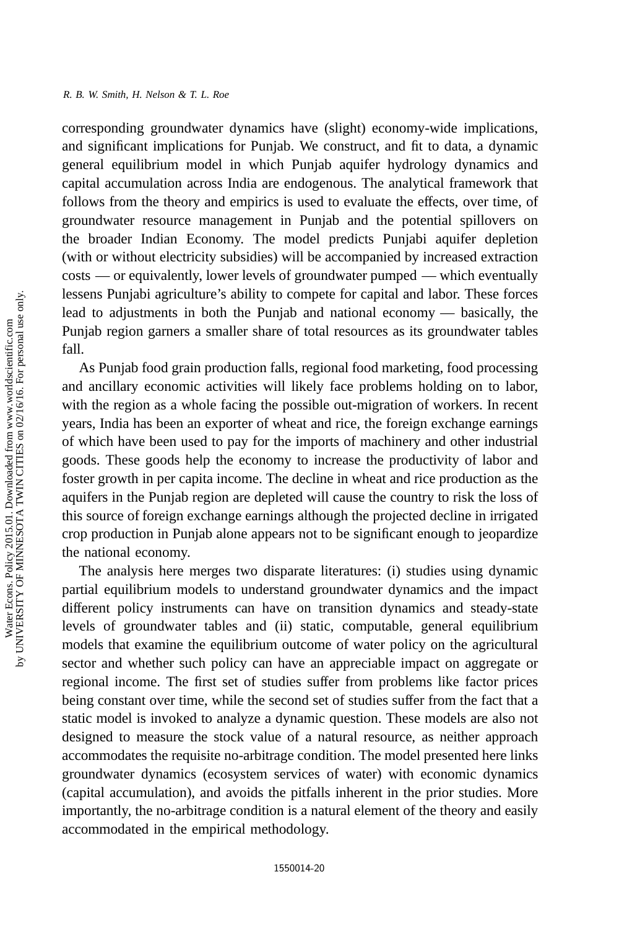corresponding groundwater dynamics have (slight) economy-wide implications, and significant implications for Punjab. We construct, and fit to data, a dynamic general equilibrium model in which Punjab aquifer hydrology dynamics and capital accumulation across India are endogenous. The analytical framework that follows from the theory and empirics is used to evaluate the effects, over time, of groundwater resource management in Punjab and the potential spillovers on the broader Indian Economy. The model predicts Punjabi aquifer depletion (with or without electricity subsidies) will be accompanied by increased extraction costs — or equivalently, lower levels of groundwater pumped — which eventually lessens Punjabi agriculture's ability to compete for capital and labor. These forces lead to adjustments in both the Punjab and national economy — basically, the Punjab region garners a smaller share of total resources as its groundwater tables fall.

As Punjab food grain production falls, regional food marketing, food processing and ancillary economic activities will likely face problems holding on to labor, with the region as a whole facing the possible out-migration of workers. In recent years, India has been an exporter of wheat and rice, the foreign exchange earnings of which have been used to pay for the imports of machinery and other industrial goods. These goods help the economy to increase the productivity of labor and foster growth in per capita income. The decline in wheat and rice production as the aquifers in the Punjab region are depleted will cause the country to risk the loss of this source of foreign exchange earnings although the projected decline in irrigated crop production in Punjab alone appears not to be significant enough to jeopardize the national economy.

The analysis here merges two disparate literatures: (i) studies using dynamic partial equilibrium models to understand groundwater dynamics and the impact different policy instruments can have on transition dynamics and steady-state levels of groundwater tables and (ii) static, computable, general equilibrium models that examine the equilibrium outcome of water policy on the agricultural sector and whether such policy can have an appreciable impact on aggregate or regional income. The first set of studies suffer from problems like factor prices being constant over time, while the second set of studies suffer from the fact that a static model is invoked to analyze a dynamic question. These models are also not designed to measure the stock value of a natural resource, as neither approach accommodates the requisite no-arbitrage condition. The model presented here links groundwater dynamics (ecosystem services of water) with economic dynamics (capital accumulation), and avoids the pitfalls inherent in the prior studies. More importantly, the no-arbitrage condition is a natural element of the theory and easily accommodated in the empirical methodology.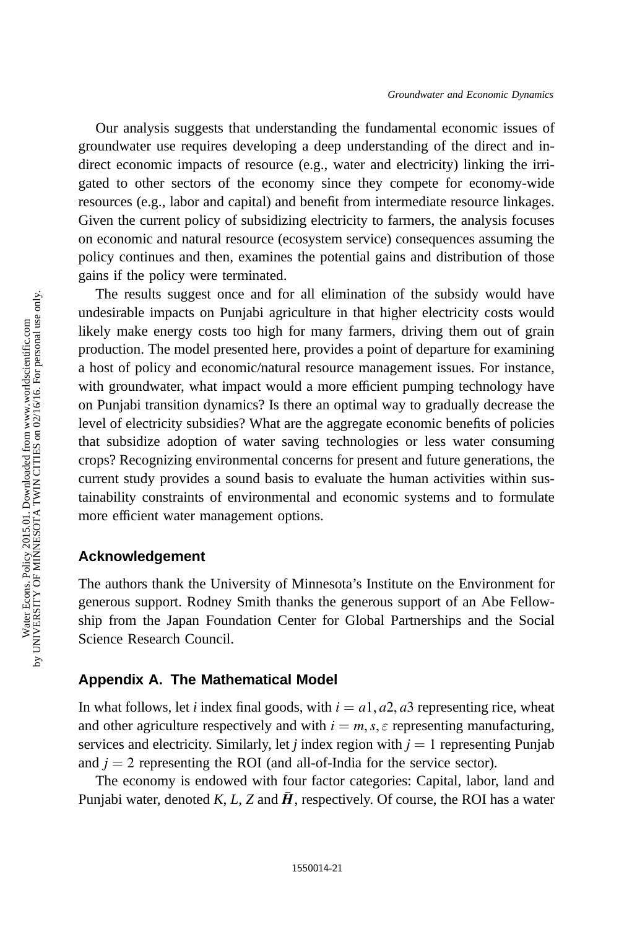Our analysis suggests that understanding the fundamental economic issues of groundwater use requires developing a deep understanding of the direct and indirect economic impacts of resource (e.g., water and electricity) linking the irrigated to other sectors of the economy since they compete for economy-wide resources (e.g., labor and capital) and benefit from intermediate resource linkages. Given the current policy of subsidizing electricity to farmers, the analysis focuses on economic and natural resource (ecosystem service) consequences assuming the policy continues and then, examines the potential gains and distribution of those gains if the policy were terminated.

The results suggest once and for all elimination of the subsidy would have undesirable impacts on Punjabi agriculture in that higher electricity costs would likely make energy costs too high for many farmers, driving them out of grain production. The model presented here, provides a point of departure for examining a host of policy and economic/natural resource management issues. For instance, with groundwater, what impact would a more efficient pumping technology have on Punjabi transition dynamics? Is there an optimal way to gradually decrease the level of electricity subsidies? What are the aggregate economic benefits of policies that subsidize adoption of water saving technologies or less water consuming crops? Recognizing environmental concerns for present and future generations, the current study provides a sound basis to evaluate the human activities within sustainability constraints of environmental and economic systems and to formulate more efficient water management options.

### Acknowledgement

The authors thank the University of Minnesota's Institute on the Environment for generous support. Rodney Smith thanks the generous support of an Abe Fellowship from the Japan Foundation Center for Global Partnerships and the Social Science Research Council.

## Appendix A. The Mathematical Model

In what follows, let *i* index final goods, with  $i = a1, a2, a3$  representing rice, wheat and other agriculture respectively and with  $i = m, s, \varepsilon$  representing manufacturing, services and electricity. Similarly, let *j* index region with  $j = 1$  representing Punjab and  $j = 2$  representing the ROI (and all-of-India for the service sector).

The economy is endowed with four factor categories: Capital, labor, land and Punjabi water, denoted  $K$ , L, Z and  $H$ , respectively. Of course, the ROI has a water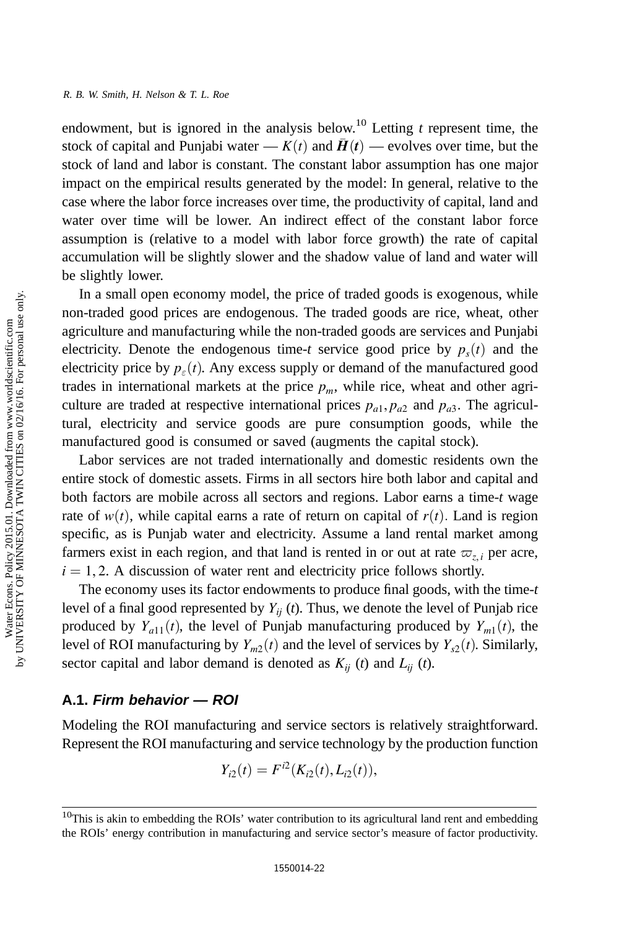endowment, but is ignored in the analysis below.<sup>10</sup> Letting  $t$  represent time, the stock of capital and Punjabi water —  $K(t)$  and  $\bar{H}(t)$  — evolves over time, but the stock of land and labor is constant. The constant labor assumption has one major impact on the empirical results generated by the model: In general, relative to the case where the labor force increases over time, the productivity of capital, land and water over time will be lower. An indirect effect of the constant labor force assumption is (relative to a model with labor force growth) the rate of capital accumulation will be slightly slower and the shadow value of land and water will be slightly lower.

In a small open economy model, the price of traded goods is exogenous, while non-traded good prices are endogenous. The traded goods are rice, wheat, other agriculture and manufacturing while the non-traded goods are services and Punjabi electricity. Denote the endogenous time-t service good price by  $p_s(t)$  and the electricity price by  $p<sub>e</sub>(t)$ . Any excess supply or demand of the manufactured good trades in international markets at the price  $p_m$ , while rice, wheat and other agriculture are traded at respective international prices  $p_{a1}, p_{a2}$  and  $p_{a3}$ . The agricultural, electricity and service goods are pure consumption goods, while the manufactured good is consumed or saved (augments the capital stock).

Labor services are not traded internationally and domestic residents own the entire stock of domestic assets. Firms in all sectors hire both labor and capital and both factors are mobile across all sectors and regions. Labor earns a time-t wage rate of  $w(t)$ , while capital earns a rate of return on capital of  $r(t)$ . Land is region specific, as is Punjab water and electricity. Assume a land rental market among farmers exist in each region, and that land is rented in or out at rate  $\varpi_{z,i}$  per acre,  $i = 1, 2$ . A discussion of water rent and electricity price follows shortly.

The economy uses its factor endowments to produce final goods, with the time-t level of a final good represented by  $Y_{ij}$  (t). Thus, we denote the level of Punjab rice produced by  $Y_{a11}(t)$ , the level of Punjab manufacturing produced by  $Y_{m1}(t)$ , the level of ROI manufacturing by  $Y_{m2}(t)$  and the level of services by  $Y_{s2}(t)$ . Similarly, sector capital and labor demand is denoted as  $K_{ij}$  (t) and  $L_{ij}$  (t).

#### A.1. Firm behavior — ROI

Modeling the ROI manufacturing and service sectors is relatively straightforward. Represent the ROI manufacturing and service technology by the production function

$$
Y_{i2}(t) = F^{i2}(K_{i2}(t), L_{i2}(t)),
$$

 $10$ This is akin to embedding the ROIs' water contribution to its agricultural land rent and embedding the ROIs' energy contribution in manufacturing and service sector's measure of factor productivity.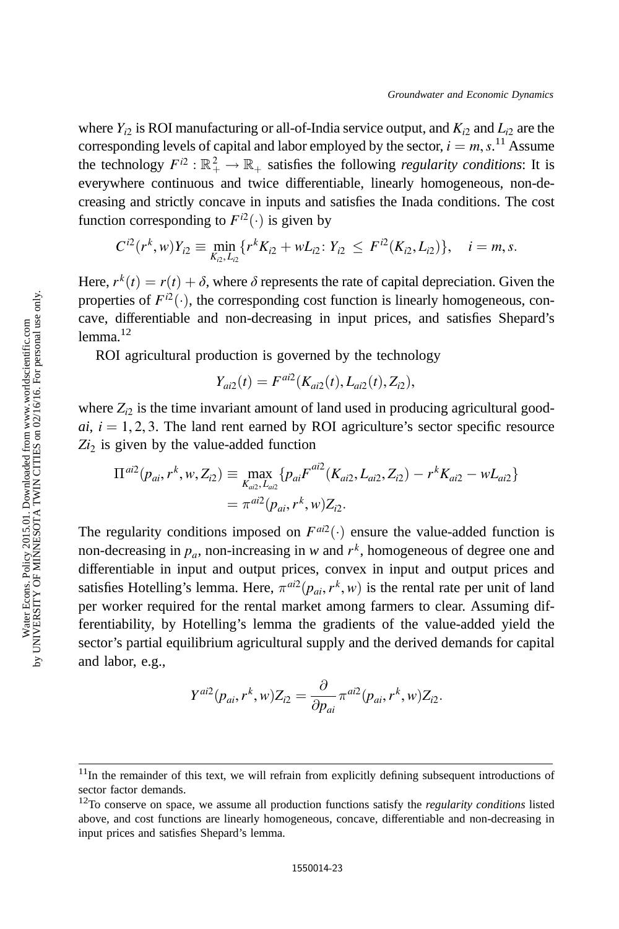where  $Y_{i2}$  is ROI manufacturing or all-of-India service output, and  $K_{i2}$  and  $L_{i2}$  are the corresponding levels of capital and labor employed by the sector,  $i = m, s$ .<sup>11</sup> Assume<br>the technology  $F^{i2} \cdot \mathbb{R}^2 \rightarrow \mathbb{R}$  satisfies the following *reqularity conditions*: It is the technology  $F^{i2}: \mathbb{R}_+^2 \to \mathbb{R}_+$  satisfies the following *regularity conditions*: It is<br>everywhere continuous and twice differentiable, linearly homogeneous, non-deeverywhere continuous and twice differentiable, linearly homogeneous, non-decreasing and strictly concave in inputs and satisfies the Inada conditions. The cost function corresponding to  $F^{i2}(\cdot)$  is given by

$$
C^{i2}(r^k,w)Y_{i2} \equiv \min_{K_{i2},L_{i2}}\{r^kK_{i2}+wL_{i2}\colon Y_{i2} \leq F^{i2}(K_{i2},L_{i2})\}, \quad i=m,s.
$$

Here,  $r^k(t) = r(t) + \delta$ , where  $\delta$  represents the rate of capital depreciation. Given the properties of  $F^{i2}(\cdot)$ , the corresponding cost function is linearly homogeneous, concave, differentiable and non-decreasing in input prices, and satisfies Shepard's lemma.<sup>12</sup>

ROI agricultural production is governed by the technology

$$
Y_{ai2}(t) = F^{ai2}(K_{ai2}(t), L_{ai2}(t), Z_{i2}),
$$

where  $Z_{i2}$  is the time invariant amount of land used in producing agricultural good $ai, i = 1, 2, 3$ . The land rent earned by ROI agriculture's sector specific resource  $Z_i$  is given by the value-added function

$$
\Pi^{ai2}(p_{ai}, r^k, w, Z_{i2}) \equiv \max_{K_{ai2}, L_{ai2}} \{p_{ai} F^{ai2}(K_{ai2}, L_{ai2}, Z_{i2}) - r^k K_{ai2} - w L_{ai2}\}
$$
  
=  $\pi^{ai2}(p_{ai}, r^k, w) Z_{i2}.$ 

The regularity conditions imposed on  $F^{ai2}(\cdot)$  ensure the value-added function is non-decreasing in  $p_a$ , non-increasing in w and  $r^k$ , homogeneous of degree one and differentiable in input and output prices, convex in input and output prices and satisfies Hotelling's lemma. Here,  $\pi^{ai2}(p_{ai},r^k, w)$  is the rental rate per unit of land per worker required for the rental market among farmers to clear. Assuming differentiability, by Hotelling's lemma the gradients of the value-added yield the sector's partial equilibrium agricultural supply and the derived demands for capital and labor, e.g.,

$$
Y^{ai2}(p_{ai},r^k,w)Z_{i2}=\frac{\partial}{\partial p_{ai}}\pi^{ai2}(p_{ai},r^k,w)Z_{i2}.
$$

 $11$ In the remainder of this text, we will refrain from explicitly defining subsequent introductions of sector factor demands.

 $12$ To conserve on space, we assume all production functions satisfy the *regularity conditions* listed above, and cost functions are linearly homogeneous, concave, differentiable and non-decreasing in input prices and satisfies Shepard's lemma.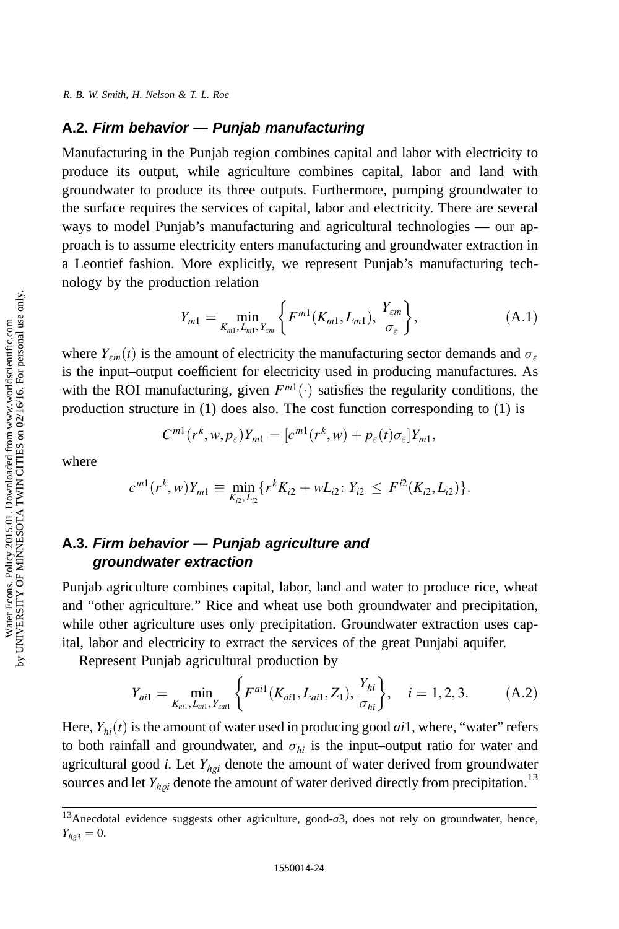#### A.2. Firm behavior — Punjab manufacturing

Manufacturing in the Punjab region combines capital and labor with electricity to produce its output, while agriculture combines capital, labor and land with groundwater to produce its three outputs. Furthermore, pumping groundwater to the surface requires the services of capital, labor and electricity. There are several ways to model Punjab's manufacturing and agricultural technologies — our approach is to assume electricity enters manufacturing and groundwater extraction in a Leontief fashion. More explicitly, we represent Punjab's manufacturing technology by the production relation

$$
Y_{m1} = \min_{K_{m1}, L_{m1}, Y_{\varepsilon m}} \left\{ F^{m1}(K_{m1}, L_{m1}), \frac{Y_{\varepsilon m}}{\sigma_{\varepsilon}} \right\},\tag{A.1}
$$

where  $Y_{em}(t)$  is the amount of electricity the manufacturing sector demands and  $\sigma_{\varepsilon}$ <br>is the input-output coefficient for electricity used in producing manufactures. As is the input–output coefficient for electricity used in producing manufactures. As with the ROI manufacturing, given  $F^{m}(\cdot)$  satisfies the regularity conditions, the production structure in (1) does also. The cost function corresponding to (1) is

$$
C^{m1}(r^k,w,p_{\varepsilon})Y_{m1}=[c^{m1}(r^k,w)+p_{\varepsilon}(t)\sigma_{\varepsilon}]Y_{m1},
$$

where

$$
c^{m1}(r^k,w)Y_{m1} \equiv \min_{K_{i2},L_{i2}} \{r^k K_{i2} + w L_{i2} : Y_{i2} \leq F^{i2}(K_{i2},L_{i2})\}.
$$

# A.3. Firm behavior — Punjab agriculture and groundwater extraction

Punjab agriculture combines capital, labor, land and water to produce rice, wheat and "other agriculture." Rice and wheat use both groundwater and precipitation, while other agriculture uses only precipitation. Groundwater extraction uses capital, labor and electricity to extract the services of the great Punjabi aquifer.

Represent Punjab agricultural production by

$$
Y_{ai1} = \min_{K_{ai1}, L_{ai1}, Y_{ca1}} \left\{ F^{ai1}(K_{ai1}, L_{ai1}, Z_1), \frac{Y_{hi}}{\sigma_{hi}} \right\}, \quad i = 1, 2, 3. \tag{A.2}
$$

Here,  $Y_{hi}(t)$  is the amount of water used in producing good *ai*1, where, "water" refers to both rainfall and groundwater, and  $\sigma_{hi}$  is the input–output ratio for water and agricultural good *i*. Let  $Y_{hgi}$  denote the amount of water derived from groundwater sources and let  $Y_{h,0i}$  denote the amount of water derived directly from precipitation.<sup>13</sup>

<sup>&</sup>lt;sup>13</sup>Anecdotal evidence suggests other agriculture, good-a3, does not rely on groundwater, hence,  $Y_{hg3} = 0.$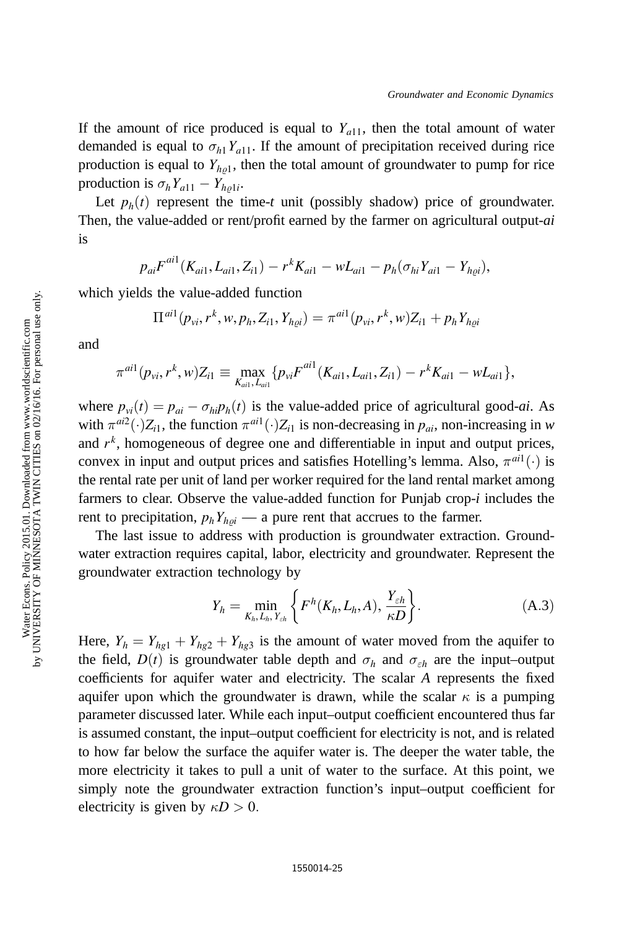<span id="page-24-0"></span>If the amount of rice produced is equal to  $Y_{a11}$ , then the total amount of water demanded is equal to  $\sigma_{h1}Y_{a11}$ . If the amount of precipitation received during rice production is equal to  $Y_{h01}$ , then the total amount of groundwater to pump for rice production is  $\sigma_h Y_{a11} - Y_{h \varrho 1i}$ .<br>Let  $p_i(t)$  represent the t

Let  $p_h(t)$  represent the time-t unit (possibly shadow) price of groundwater. Then, the value-added or rent/profit earned by the farmer on agricultural output-ai is

$$
p_{ai}F^{ai1}(K_{ai1},L_{ai1},Z_{i1})-r^kK_{ai1}-wL_{ai1}-p_h(\sigma_{hi}Y_{ai1}-Y_{hgi}),
$$

which yields the value-added function

$$
\Pi^{ai1}(p_{vi}, r^k, w, p_h, Z_{i1}, Y_{h\varrho i}) = \pi^{ai1}(p_{vi}, r^k, w)Z_{i1} + p_hY_{h\varrho i}
$$

and

$$
\pi^{ail}(p_{vi}, r^k, w)Z_{i1} \equiv \max_{K_{ali}, L_{ali}} \{p_{vi}F^{ail}(K_{ali}, L_{ali}, Z_{i1}) - r^k K_{ali} - wL_{ali}\},\
$$

where  $p_{vi}(t) = p_{ai} - \sigma_{hi}p_h(t)$  is the value-added price of agricultural good-ai. As with  $\pi^{ai2}(\cdot)Z_{i1}$ , the function  $\pi^{ai1}(\cdot)Z_{i1}$  is non-decreasing in  $p_{ai}$ , non-increasing in w and  $r<sup>k</sup>$ , homogeneous of degree one and differentiable in input and output prices, convex in input and output prices and satisfies Hotelling's lemma. Also,  $\pi^{ail}(\cdot)$  is the rental rate per unit of land per worker required for the land rental market among farmers to clear. Observe the value-added function for Punjab crop-i includes the rent to precipitation,  $p_h Y_{hoi}$  — a pure rent that accrues to the farmer.

The last issue to address with production is groundwater extraction. Groundwater extraction requires capital, labor, electricity and groundwater. Represent the groundwater extraction technology by

$$
Y_{h} = \min_{K_{h}, L_{h}, Y_{\varepsilon h}} \left\{ F^{h}(K_{h}, L_{h}, A), \frac{Y_{\varepsilon h}}{\kappa D} \right\}.
$$
 (A.3)

Here,  $Y_h = Y_{hg1} + Y_{hg2} + Y_{hg3}$  is the amount of water moved from the aquifer to the field,  $D(t)$  is groundwater table depth and  $\sigma_h$  and  $\sigma_{\varepsilon h}$  are the input–output coefficients for aquifor vator and electricity. The scalar A represents the fixed coefficients for aquifer water and electricity. The scalar A represents the fixed aquifer upon which the groundwater is drawn, while the scalar  $\kappa$  is a pumping parameter discussed later. While each input–output coefficient encountered thus far is assumed constant, the input–output coefficient for electricity is not, and is related to how far below the surface the aquifer water is. The deeper the water table, the more electricity it takes to pull a unit of water to the surface. At this point, we simply note the groundwater extraction function's input–output coefficient for electricity is given by  $\kappa D > 0$ .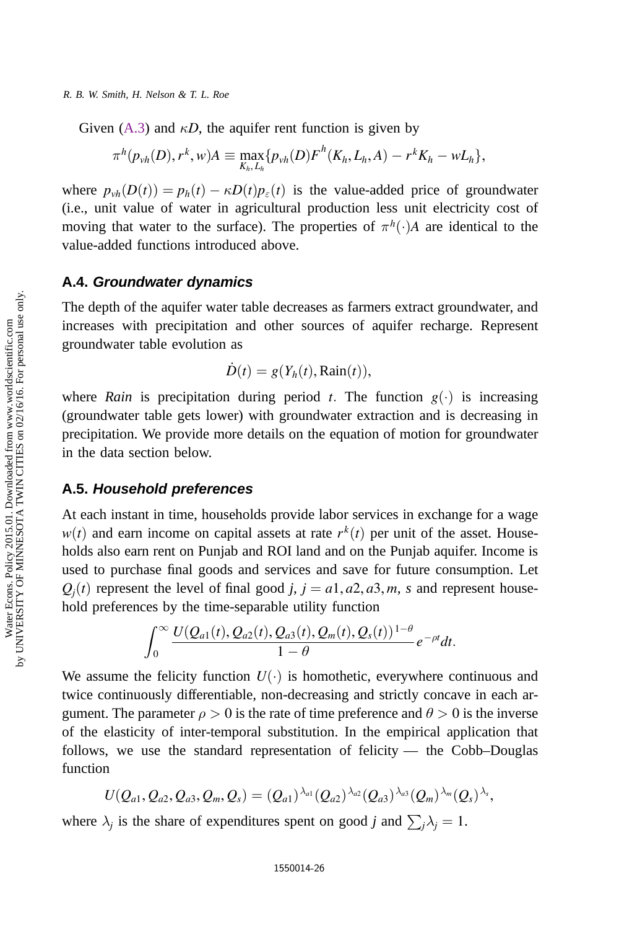Given [\(A.3\)](#page-24-0) and  $\kappa D$ , the aquifer rent function is given by

$$
\pi^h(p_{vh}(D), r^k, w)A \equiv \max_{K_h, L_h} \{p_{vh}(D)F^h(K_h, L_h, A) - r^k K_h - wL_h\},\
$$

where  $p_{vh}(D(t)) = p_h(t) - \kappa D(t)p_{\varepsilon}(t)$  is the value-added price of groundwater<br>Geometry value of water in agricultural production less unit electricity cost of (i.e., unit value of water in agricultural production less unit electricity cost of moving that water to the surface). The properties of  $\pi^h(\cdot)A$  are identical to the value-added functions introduced above.

#### A.4. Groundwater dynamics

The depth of the aquifer water table decreases as farmers extract groundwater, and increases with precipitation and other sources of aquifer recharge. Represent groundwater table evolution as

$$
\dot{D}(t) = g(Y_h(t), \text{Rain}(t)),
$$

where Rain is precipitation during period t. The function  $g(\cdot)$  is increasing (groundwater table gets lower) with groundwater extraction and is decreasing in precipitation. We provide more details on the equation of motion for groundwater in the data section below.

#### A.5. Household preferences

At each instant in time, households provide labor services in exchange for a wage  $w(t)$  and earn income on capital assets at rate  $r^k(t)$  per unit of the asset. Households also earn rent on Punjab and ROI land and on the Punjab aquifer. Income is used to purchase final goods and services and save for future consumption. Let  $Q_i(t)$  represent the level of final good j,  $j = a1, a2, a3, m$ , s and represent household preferences by the time-separable utility function

$$
\int_0^\infty \frac{U(Q_{a1}(t),Q_{a2}(t),Q_{a3}(t),Q_m(t),Q_s(t))^{1-\theta}}{1-\theta}e^{-\rho t}dt.
$$

We assume the felicity function  $U(\cdot)$  is homothetic, everywhere continuous and twice continuously differentiable, non-decreasing and strictly concave in each argument. The parameter  $\rho > 0$  is the rate of time preference and  $\theta > 0$  is the inverse of the elasticity of inter-temporal substitution. In the empirical application that follows, we use the standard representation of felicity — the Cobb–Douglas function

 $U(Q_{a1}, Q_{a2}, Q_{a3}, Q_m, Q_s) = (Q_{a1})^{\lambda_{a1}} (Q_{a2})^{\lambda_{a2}} (Q_{a3})^{\lambda_{a3}} (Q_m)^{\lambda_m} (Q_s)^{\lambda_s},$ where  $\lambda_j$  is the share of expenditures spent on good j and  $\sum_i \lambda_i = 1$ .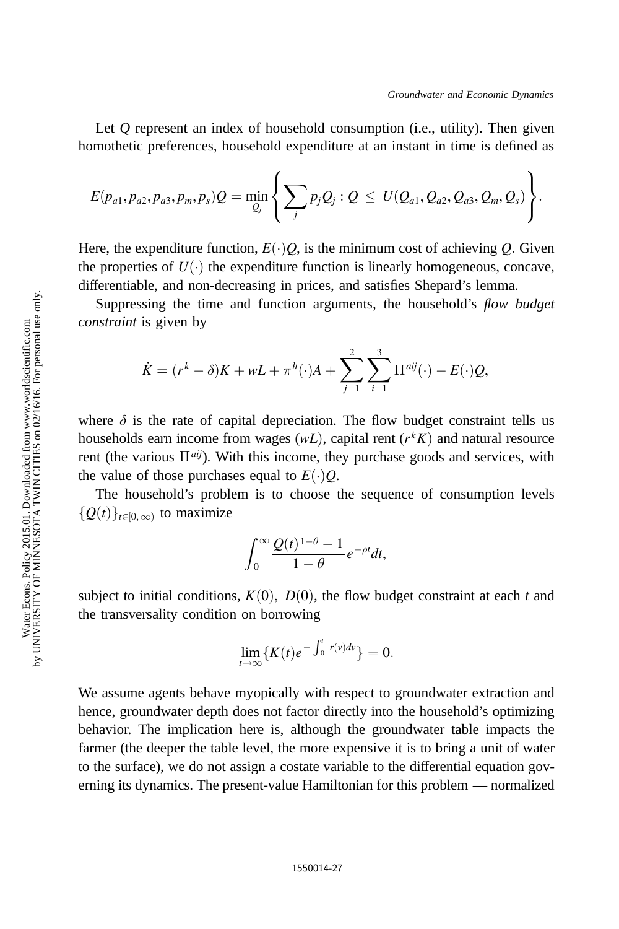Let Q represent an index of household consumption (i.e., utility). Then given homothetic preferences, household expenditure at an instant in time is defined as

$$
E(p_{a1}, p_{a2}, p_{a3}, p_m, p_s)Q = \min_{Q_j} \left\{ \sum_j p_j Q_j : Q \leq U(Q_{a1}, Q_{a2}, Q_{a3}, Q_m, Q_s) \right\}.
$$

Here, the expenditure function,  $E(\cdot)Q$ , is the minimum cost of achieving Q. Given the properties of  $U(\cdot)$  the expenditure function is linearly homogeneous, concave, differentiable, and non-decreasing in prices, and satisfies Shepard's lemma.

Suppressing the time and function arguments, the household's *flow budget* constraint is given by

$$
\dot{K} = (r^k - \delta)K + wL + \pi^h(\cdot)A + \sum_{j=1}^2 \sum_{i=1}^3 \Pi^{aij}(\cdot) - E(\cdot)Q,
$$

where  $\delta$  is the rate of capital depreciation. The flow budget constraint tells us households earn income from wages ( $wL$ ), capital rent ( $r<sup>k</sup>K$ ) and natural resource rent (the various  $\Pi^{\textit{aij}}$ ). With this income, they purchase goods and services, with the value of those purchases equal to  $E(\cdot)Q$ .

The household's problem is to choose the sequence of consumption levels  $\{Q(t)\}_{t\in[0,\infty)}$  to maximize

$$
\int_0^\infty \frac{Q(t)^{1-\theta}-1}{1-\theta}e^{-\rho t}dt,
$$

subject to initial conditions,  $K(0)$ ,  $D(0)$ , the flow budget constraint at each t and the transversality condition on borrowing

$$
\lim_{t\to\infty}\left\{K(t)e^{-\int_0^t r(v)dv}\right\}=0.
$$

We assume agents behave myopically with respect to groundwater extraction and hence, groundwater depth does not factor directly into the household's optimizing behavior. The implication here is, although the groundwater table impacts the farmer (the deeper the table level, the more expensive it is to bring a unit of water to the surface), we do not assign a costate variable to the differential equation governing its dynamics. The present-value Hamiltonian for this problem — normalized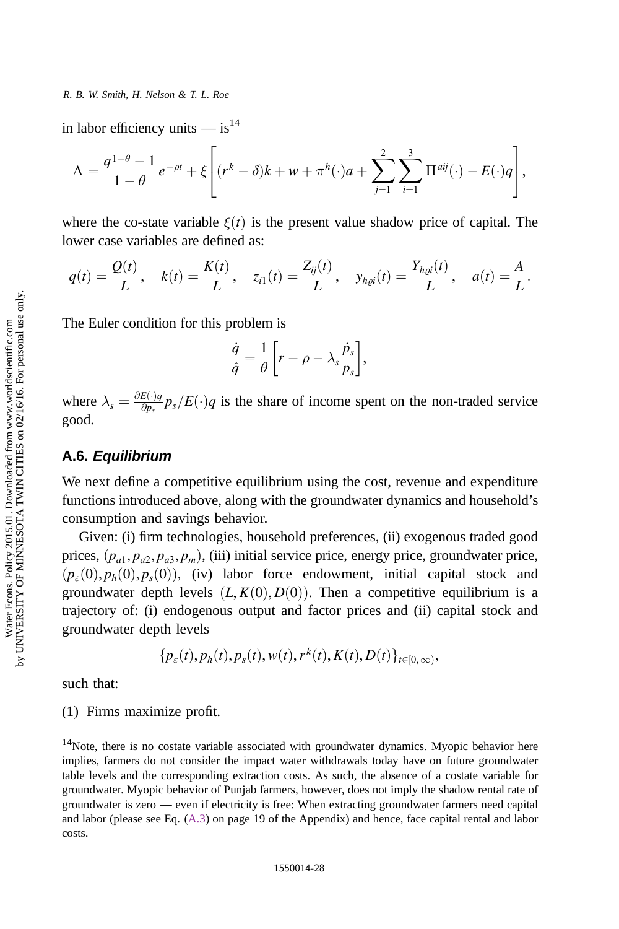in labor efficiency units  $-$  is<sup>14</sup>

$$
\Delta = \frac{q^{1-\theta}-1}{1-\theta}e^{-\rho t} + \xi \left[ (r^k - \delta)k + w + \pi^h(\cdot)a + \sum_{j=1}^2 \sum_{i=1}^3 \Pi^{aij}(\cdot) - E(\cdot)q \right],
$$

where the co-state variable  $\xi(t)$  is the present value shadow price of capital. The lower case variables are defined as:

$$
q(t) = \frac{Q(t)}{L}
$$
,  $k(t) = \frac{K(t)}{L}$ ,  $z_{i1}(t) = \frac{Z_{ij}(t)}{L}$ ,  $y_{hqi}(t) = \frac{Y_{hqi}(t)}{L}$ ,  $a(t) = \frac{A}{L}$ .

The Euler condition for this problem is

$$
\frac{\dot{q}}{\hat{q}} = \frac{1}{\theta} \left[ r - \rho - \lambda_s \frac{\dot{p}_s}{p_s} \right],
$$

where  $\lambda_s = \frac{\partial E(\cdot) q}{\partial p_s} p_s/E(\cdot) q$  is the share of income spent on the non-traded service good.

### A.6. Equilibrium

We next define a competitive equilibrium using the cost, revenue and expenditure functions introduced above, along with the groundwater dynamics and household's consumption and savings behavior.

Given: (i) firm technologies, household preferences, (ii) exogenous traded good prices,  $(p_{a1}, p_{a2}, p_{a3}, p_m)$ , (iii) initial service price, energy price, groundwater price,  $(p_\varepsilon(0), p_h(0), p_s(0))$ , (iv) labor force endowment, initial capital stock and groundwater depth levels  $(L, K(0), D(0))$ . Then a competitive equilibrium is a trajectory of: (i) endogenous output and factor prices and (ii) capital stock and groundwater depth levels

$$
{p_{\varepsilon}(t),p_h(t),p_s(t),w(t),r^k(t),K(t),D(t)}_{t\in[0,\infty)},
$$

such that:

(1) Firms maximize profit.

 $14$ Note, there is no costate variable associated with groundwater dynamics. Myopic behavior here implies, farmers do not consider the impact water withdrawals today have on future groundwater table levels and the corresponding extraction costs. As such, the absence of a costate variable for groundwater. Myopic behavior of Punjab farmers, however, does not imply the shadow rental rate of groundwater is zero — even if electricity is free: When extracting groundwater farmers need capital and labor (please see Eq. ([A.3\)](#page-24-0) on page 19 of the Appendix) and hence, face capital rental and labor costs.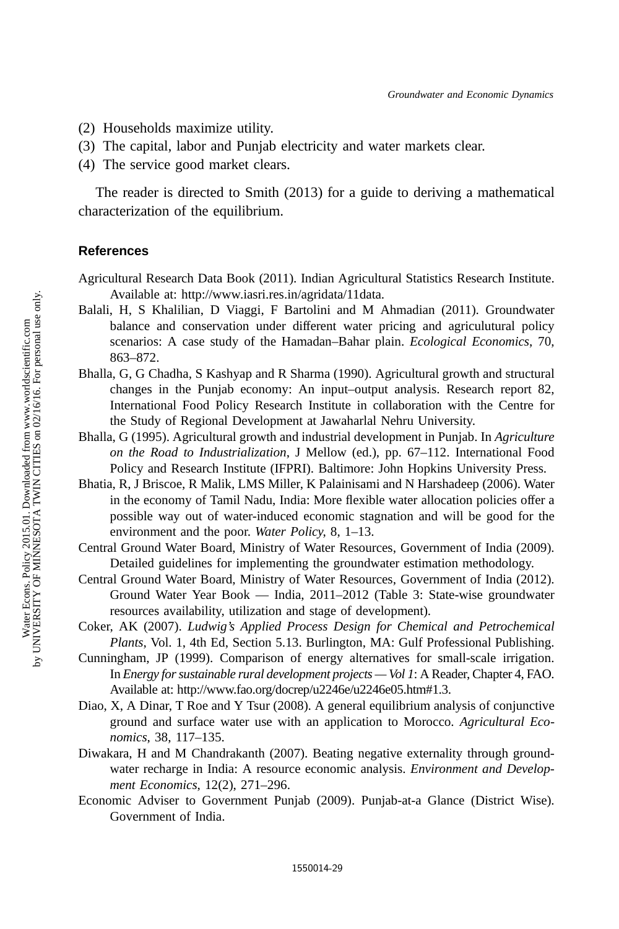- <span id="page-28-0"></span>(2) Households maximize utility.
- (3) The capital, labor and Punjab electricity and water markets clear.
- (4) The service good market clears.

The reader is directed to Smith (2013) for a guide to deriving a mathematical characterization of the equilibrium.

#### References

- Agricultural Research Data Book (2011). Indian Agricultural Statistics Research Institute. Available at: http://www.iasri.res.in/agridata/11data.
- Balali, H, S Khalilian, D Viaggi, F Bartolini and M Ahmadian (2011). Groundwater balance and conservation under different water pricing and agriculutural policy scenarios: A case study of the Hamadan–Bahar plain. Ecological Economics, 70, 863–872.
- Bhalla, G, G Chadha, S Kashyap and R Sharma (1990). Agricultural growth and structural changes in the Punjab economy: An input–output analysis. Research report 82, International Food Policy Research Institute in collaboration with the Centre for the Study of Regional Development at Jawaharlal Nehru University.
- Bhalla, G (1995). Agricultural growth and industrial development in Punjab. In Agriculture on the Road to Industrialization, J Mellow (ed.), pp. 67–112. International Food Policy and Research Institute (IFPRI). Baltimore: John Hopkins University Press.
- Bhatia, R, J Briscoe, R Malik, LMS Miller, K Palainisami and N Harshadeep (2006). Water in the economy of Tamil Nadu, India: More flexible water allocation policies offer a possible way out of water-induced economic stagnation and will be good for the environment and the poor. Water Policy, 8, 1–13.
- Central Ground Water Board, Ministry of Water Resources, Government of India (2009). Detailed guidelines for implementing the groundwater estimation methodology.
- Central Ground Water Board, Ministry of Water Resources, Government of India (2012). Ground Water Year Book — India, 2011–2012 (Table 3: State-wise groundwater resources availability, utilization and stage of development).
- Coker, AK (2007). Ludwig's Applied Process Design for Chemical and Petrochemical Plants, Vol. 1, 4th Ed, Section 5.13. Burlington, MA: Gulf Professional Publishing.
- Cunningham, JP (1999). Comparison of energy alternatives for small-scale irrigation. In Energy for sustainable rural development projects — Vol 1: A Reader, Chapter 4, FAO. Available at: http://www.fao.org/docrep/u2246e/u2246e05.htm#1.3.
- Diao, X, A Dinar, T Roe and Y Tsur (2008). A general equilibrium analysis of conjunctive ground and surface water use with an application to Morocco. Agricultural Economics, 38, 117–135.
- Diwakara, H and M Chandrakanth (2007). Beating negative externality through groundwater recharge in India: A resource economic analysis. Environment and Development Economics, 12(2), 271–296.
- Economic Adviser to Government Punjab (2009). Punjab-at-a Glance (District Wise). Government of India.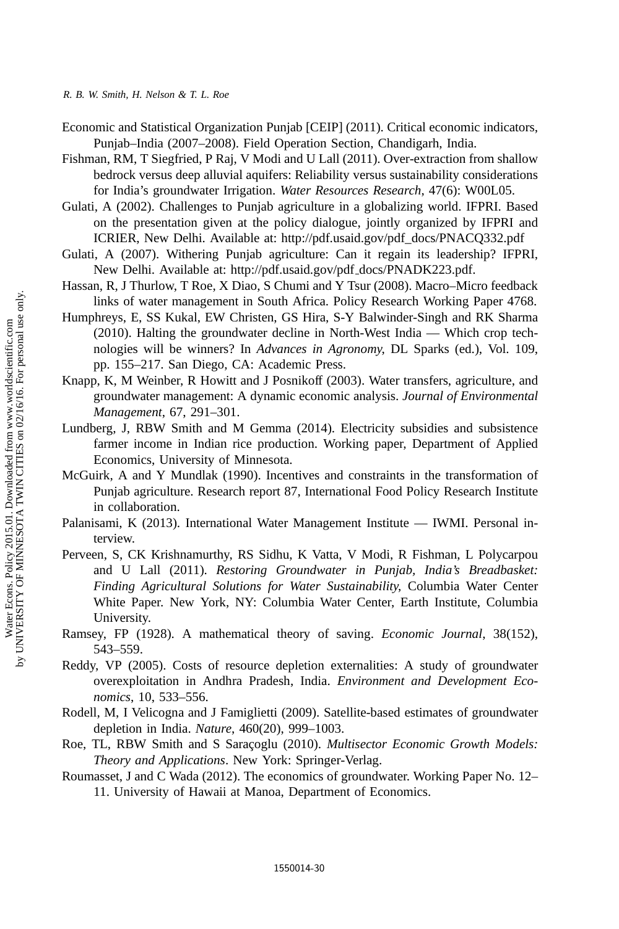- <span id="page-29-0"></span>Economic and Statistical Organization Punjab [CEIP] (2011). Critical economic indicators, Punjab–India (2007–2008). Field Operation Section, Chandigarh, India.
- Fishman, RM, T Siegfried, P Raj, V Modi and U Lall (2011). Over-extraction from shallow bedrock versus deep alluvial aquifers: Reliability versus sustainability considerations for India's groundwater Irrigation. Water Resources Research, 47(6): W00L05.
- Gulati, A (2002). Challenges to Punjab agriculture in a globalizing world. IFPRI. Based on the presentation given at the policy dialogue, jointly organized by IFPRI and ICRIER, New Delhi. Available at: http://pdf.usaid.gov/pdf\_docs/PNACQ332.pdf
- Gulati, A (2007). Withering Punjab agriculture: Can it regain its leadership? IFPRI, New Delhi. Available at: http://pdf.usaid.gov/pdf docs/PNADK223.pdf.
- Hassan, R, J Thurlow, T Roe, X Diao, S Chumi and Y Tsur (2008). Macro–Micro feedback links of water management in South Africa. Policy Research Working Paper 4768.
- Humphreys, E, SS Kukal, EW Christen, GS Hira, S-Y Balwinder-Singh and RK Sharma (2010). Halting the groundwater decline in North-West India — Which crop technologies will be winners? In Advances in Agronomy, DL Sparks (ed.), Vol. 109, pp. 155–217. San Diego, CA: Academic Press.
- Knapp, K, M Weinber, R Howitt and J Posnikoff (2003). Water transfers, agriculture, and groundwater management: A dynamic economic analysis. Journal of Environmental Management, 67, 291–301.
- Lundberg, J, RBW Smith and M Gemma (2014). Electricity subsidies and subsistence farmer income in Indian rice production. Working paper, Department of Applied Economics, University of Minnesota.
- McGuirk, A and Y Mundlak (1990). Incentives and constraints in the transformation of Punjab agriculture. Research report 87, International Food Policy Research Institute in collaboration.
- Palanisami, K (2013). International Water Management Institute IWMI. Personal interview.
- Perveen, S, CK Krishnamurthy, RS Sidhu, K Vatta, V Modi, R Fishman, L Polycarpou and U Lall (2011). Restoring Groundwater in Punjab, India's Breadbasket: Finding Agricultural Solutions for Water Sustainability, Columbia Water Center White Paper. New York, NY: Columbia Water Center, Earth Institute, Columbia University.
- Ramsey, FP (1928). A mathematical theory of saving. Economic Journal, 38(152), 543–559.
- Reddy, VP (2005). Costs of resource depletion externalities: A study of groundwater overexploitation in Andhra Pradesh, India. Environment and Development Economics, 10, 533–556.
- Rodell, M, I Velicogna and J Famiglietti (2009). Satellite-based estimates of groundwater depletion in India. Nature, 460(20), 999–1003.
- Roe, TL, RBW Smith and S Saraçoglu (2010). Multisector Economic Growth Models: Theory and Applications. New York: Springer-Verlag.
- Roumasset, J and C Wada (2012). The economics of groundwater. Working Paper No. 12– 11. University of Hawaii at Manoa, Department of Economics.